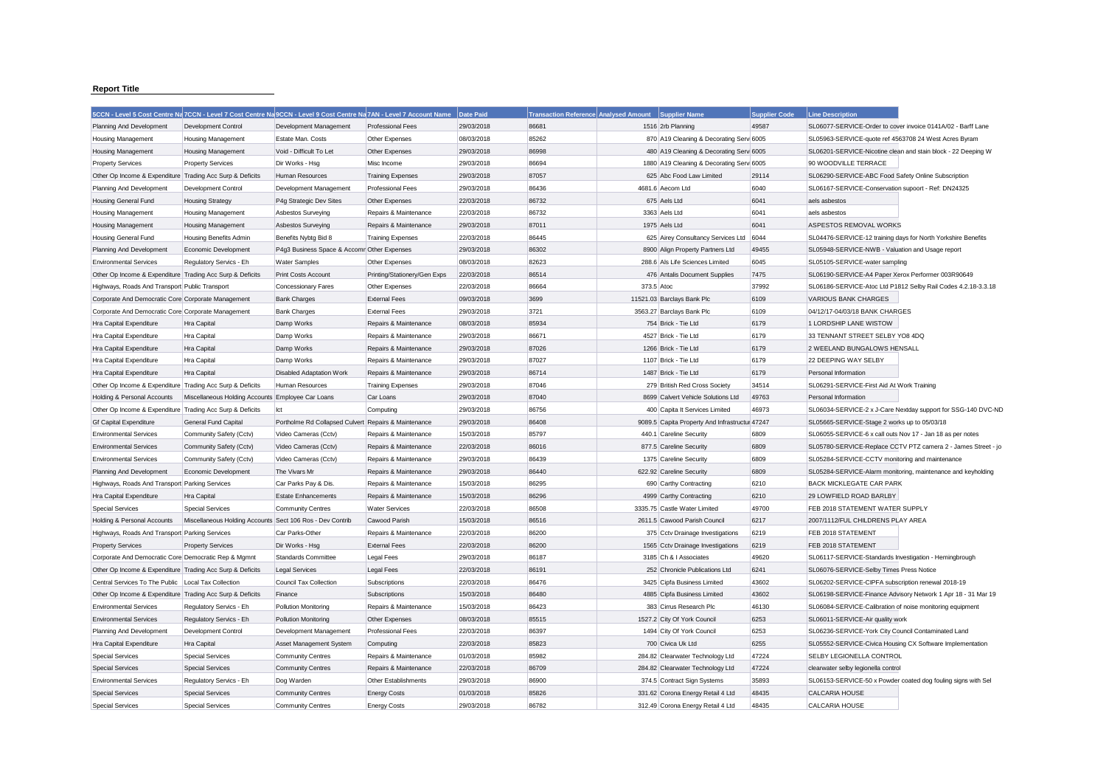## **Report Title**

|                                                           | 5CCN - Level 5 Cost Centre Na 7CCN - Level 7 Cost Centre Na 9CCN - Level 9 Cost Centre Na 7AN - Level 7 Account Name |                                                      |                              | <b>Date Paid</b> | <b>Transaction Reference Analysed Amount</b> | <b>Supplier Name</b>                              | <b>Supplier Code</b> | <b>Line Description</b>                                       |
|-----------------------------------------------------------|----------------------------------------------------------------------------------------------------------------------|------------------------------------------------------|------------------------------|------------------|----------------------------------------------|---------------------------------------------------|----------------------|---------------------------------------------------------------|
| Planning And Development                                  | <b>Development Control</b>                                                                                           | Development Management                               | <b>Professional Fees</b>     | 29/03/2018       | 86681                                        | 1516 2rb Planning                                 | 49587                | SL06077-SERVICE-Order to cover invoice 0141A/02 - Barff Lane  |
| Housing Management                                        | <b>Housing Management</b>                                                                                            | Estate Man. Costs                                    | Other Expenses               | 08/03/2018       | 85262                                        | 870 A19 Cleaning & Decorating Serv 6005           |                      | SL05963-SERVICE-quote ref 4563708 24 West Acres Byram         |
| <b>Housing Management</b>                                 | <b>Housing Management</b>                                                                                            | Void - Difficult To Let                              | Other Expenses               | 29/03/2018       | 86998                                        | 480 A19 Cleaning & Decorating Serv 6005           |                      | SL06201-SERVICE-Nicotine clean and stain block - 22 Deeping W |
| <b>Property Services</b>                                  | <b>Property Services</b>                                                                                             | Dir Works - Hsg                                      | Misc Income                  | 29/03/2018       | 86694                                        | 1880 A19 Cleaning & Decorating Serv 6005          |                      | 90 WOODVILLE TERRACE                                          |
| Other Op Income & Expenditure Trading Acc Surp & Deficits |                                                                                                                      | Human Resources                                      | <b>Training Expenses</b>     | 29/03/2018       | 87057                                        | 625 Abc Food Law Limited                          | 29114                | SL06290-SERVICE-ABC Food Safety Online Subscription           |
| Planning And Development                                  | Development Control                                                                                                  | Development Management                               | Professional Fees            | 29/03/2018       | 86436                                        | 4681.6 Aecom Ltd                                  | 6040                 | SL06167-SERVICE-Conservation supoort - Ref: DN24325           |
| <b>Housing General Fund</b>                               | <b>Housing Strategy</b>                                                                                              | P4g Strategic Dev Sites                              | Other Expenses               | 22/03/2018       | 86732                                        | 675 Aels Ltd                                      | 6041                 | aels asbestos                                                 |
| <b>Housing Management</b>                                 | <b>Housing Management</b>                                                                                            | Asbestos Surveying                                   | Repairs & Maintenance        | 22/03/2018       | 86732                                        | 3363 Aels Ltd                                     | 6041                 | aels asbestos                                                 |
| <b>Housing Management</b>                                 | <b>Housing Management</b>                                                                                            | Asbestos Surveying                                   | Repairs & Maintenance        | 29/03/2018       | 87011                                        | 1975 Aels Ltd                                     | 6041                 | ASPESTOS REMOVAL WORKS                                        |
| Housing General Fund                                      | <b>Housing Benefits Admin</b>                                                                                        | Benefits Nybtg Bid 8                                 | <b>Training Expenses</b>     | 22/03/2018       | 86445                                        | 625 Airey Consultancy Services Ltd                | 6044                 | SL04476-SERVICE-12 training days for North Yorkshire Benefits |
| Planning And Development                                  | Economic Development                                                                                                 | P4g3 Business Space & Accomr Other Expenses          |                              | 29/03/2018       | 86302                                        | 8900 Align Property Partners Ltd                  | 49455                | SL05948-SERVICE-NWB - Valuation and Usage report              |
| <b>Environmental Services</b>                             | Regulatory Servics - Eh                                                                                              | <b>Water Samples</b>                                 | Other Expenses               | 08/03/2018       | 82623                                        | 288.6 Als Life Sciences Limited                   | 6045                 | SL05105-SERVICE-water sampling                                |
| Other Op Income & Expenditure Trading Acc Surp & Deficits |                                                                                                                      | <b>Print Costs Account</b>                           | Printing/Stationery/Gen Exps | 22/03/2018       | 86514                                        | 476 Antalis Document Supplies                     | 7475                 | SL06190-SERVICE-A4 Paper Xerox Performer 003R90649            |
| Highways, Roads And Transport Public Transport            |                                                                                                                      | Concessionary Fares                                  | Other Expenses               | 22/03/2018       | 86664                                        | 373.5 Atoc                                        | 37992                | SL06186-SERVICE-Atoc Ltd P1812 Selby Rail Codes 4.2.18-3.3.18 |
| Corporate And Democratic Core Corporate Management        |                                                                                                                      | <b>Bank Charges</b>                                  | <b>External Fees</b>         | 09/03/2018       | 3699                                         | 11521.03 Barclays Bank Plc                        | 6109                 | <b>VARIOUS BANK CHARGES</b>                                   |
| Corporate And Democratic Core Corporate Management        |                                                                                                                      | <b>Bank Charges</b>                                  | <b>External Fees</b>         | 29/03/2018       | 3721                                         | 3563.27 Barclays Bank Plc                         | 6109                 | 04/12/17-04/03/18 BANK CHARGES                                |
| Hra Capital Expenditure                                   | Hra Capital                                                                                                          | Damp Works                                           | Repairs & Maintenance        | 08/03/2018       | 85934                                        | 754 Brick - Tie Ltd                               | 6179                 | 1 LORDSHIP LANE WISTOW                                        |
| Hra Capital Expenditure                                   | Hra Capital                                                                                                          | Damp Works                                           | Repairs & Maintenance        | 29/03/2018       | 86671                                        | 4527 Brick - Tie Ltd                              | 6179                 | 33 TENNANT STREET SELBY YO8 4DQ                               |
| Hra Capital Expenditure                                   | Hra Capital                                                                                                          | Damp Works                                           | Repairs & Maintenance        | 29/03/2018       | 87026                                        | 1266 Brick - Tie Ltd                              | 6179                 | 2 WEELAND BUNGALOWS HENSALL                                   |
| Hra Capital Expenditure                                   | Hra Capital                                                                                                          | Damp Works                                           | Repairs & Maintenance        | 29/03/2018       | 87027                                        | 1107 Brick - Tie Ltd                              | 6179                 | 22 DEEPING WAY SELBY                                          |
| Hra Capital Expenditure                                   | Hra Capital                                                                                                          | <b>Disabled Adaptation Work</b>                      | Repairs & Maintenance        | 29/03/2018       | 86714                                        | 1487 Brick - Tie Ltd                              | 6179                 | Personal Information                                          |
| Other Op Income & Expenditure Trading Acc Surp & Deficits |                                                                                                                      | Human Resources                                      | <b>Training Expenses</b>     | 29/03/2018       | 87046                                        | 279 British Red Cross Society                     | 34514                | SL06291-SERVICE-First Aid At Work Training                    |
| Holding & Personal Accounts                               | Miscellaneous Holding Accounts Employee Car Loans                                                                    |                                                      | Car Loans                    | 29/03/2018       | 87040                                        | 8699 Calvert Vehicle Solutions Ltd                | 49763                | Personal Information                                          |
| Other Op Income & Expenditure Trading Acc Surp & Deficits |                                                                                                                      | Ict                                                  | Computing                    | 29/03/2018       | 86756                                        | 400 Capita It Services Limited                    | 46973                | SL06034-SERVICE-2 x J-Care Nextday support for SSG-140 DVC-ND |
| <b>Gf Capital Expenditure</b>                             | General Fund Capital                                                                                                 | Portholme Rd Collapsed Culvert Repairs & Maintenance |                              | 29/03/2018       | 86408                                        | 9089.5 Capita Property And Infrastructur 47247    |                      | SL05665-SERVICE-Stage 2 works up to 05/03/18                  |
| <b>Environmental Services</b>                             | Community Safety (Cctv)                                                                                              | Video Cameras (Cctv)                                 | Repairs & Maintenance        | 15/03/2018       | 85797                                        | 440.1 Careline Security                           | 6809                 | SL06055-SERVICE-6 x call outs Nov 17 - Jan 18 as per notes    |
| <b>Environmental Services</b>                             |                                                                                                                      |                                                      |                              |                  | 86016                                        |                                                   |                      | SL05780-SERVICE-Replace CCTV PTZ camera 2 - James Street - jo |
|                                                           | Community Safety (Cctv)                                                                                              | Video Cameras (Cctv)                                 | Repairs & Maintenance        | 22/03/2018       | 86439                                        | 877.5 Careline Security<br>1375 Careline Security | 6809<br>6809         |                                                               |
| <b>Environmental Services</b>                             | Community Safety (Cctv)                                                                                              | Video Cameras (Cctv)                                 | Repairs & Maintenance        | 29/03/2018       |                                              |                                                   |                      | SL05284-SERVICE-CCTV monitoring and maintenance               |
| Planning And Development                                  | Economic Development                                                                                                 | The Vivars Mr                                        | Repairs & Maintenance        | 29/03/2018       | 86440                                        | 622.92 Careline Security                          | 6809                 | SL05284-SERVICE-Alarm monitoring, maintenance and keyholding  |
| Highways, Roads And Transport Parking Services            |                                                                                                                      | Car Parks Pay & Dis.                                 | Repairs & Maintenance        | 15/03/2018       | 86295                                        | 690 Carthy Contracting                            | 6210                 | <b>BACK MICKLEGATE CAR PARK</b>                               |
| Hra Capital Expenditure                                   | Hra Capital                                                                                                          | <b>Estate Enhancements</b>                           | Repairs & Maintenance        | 15/03/2018       | 86296                                        | 4999 Carthy Contracting                           | 6210                 | 29 LOWFIELD ROAD BARLBY                                       |
| <b>Special Services</b>                                   | <b>Special Services</b>                                                                                              | <b>Community Centres</b>                             | <b>Water Services</b>        | 22/03/2018       | 86508                                        | 3335.75 Castle Water Limited                      | 49700                | FEB 2018 STATEMENT WATER SUPPLY                               |
| Holding & Personal Accounts                               | Miscellaneous Holding Accounts Sect 106 Ros - Dev Contrib                                                            |                                                      | Cawood Parish                | 15/03/2018       | 86516                                        | 2611.5 Cawood Parish Council                      | 6217                 | 2007/1112/FUL CHILDRENS PLAY AREA                             |
| Highways, Roads And Transport Parking Services            |                                                                                                                      | Car Parks-Other                                      | Repairs & Maintenance        | 22/03/2018       | 86200                                        | 375 Cctv Drainage Investigations                  | 6219                 | FEB 2018 STATEMENT                                            |
| <b>Property Services</b>                                  | <b>Property Services</b>                                                                                             | Dir Works - Hsg                                      | <b>External Fees</b>         | 22/03/2018       | 86200                                        | 1565 Cctv Drainage Investigations                 | 6219                 | FEB 2018 STATEMENT                                            |
| Corporate And Democratic Core Democratic Rep & Mgmnt      |                                                                                                                      | Standards Committee                                  | Legal Fees                   | 29/03/2018       | 86187                                        | 3185 Ch & I Associates                            | 49620                | SL06117-SERVICE-Standards Investigation - Hemingbrough        |
| Other Op Income & Expenditure Trading Acc Surp & Deficits |                                                                                                                      | <b>Legal Services</b>                                | Legal Fees                   | 22/03/2018       | 86191                                        | 252 Chronicle Publications Ltd                    | 6241                 | SL06076-SERVICE-Selby Times Press Notice                      |
| Central Services To The Public   Local Tax Collection     |                                                                                                                      | Council Tax Collection                               | Subscriptions                | 22/03/2018       | 86476                                        | 3425 Cipfa Business Limited                       | 43602                | SL06202-SERVICE-CIPFA subscription renewal 2018-19            |
| Other Op Income & Expenditure Trading Acc Surp & Deficits |                                                                                                                      | Finance                                              | Subscriptions                | 15/03/2018       | 86480                                        | 4885 Cipfa Business Limited                       | 43602                | SL06198-SERVICE-Finance Advisory Network 1 Apr 18 - 31 Mar 19 |
| <b>Environmental Services</b>                             | Regulatory Servics - Eh                                                                                              | <b>Pollution Monitoring</b>                          | Repairs & Maintenance        | 15/03/2018       | 86423                                        | 383 Cirrus Research Plc                           | 46130                | SL06084-SERVICE-Calibration of noise monitoring equipment     |
| <b>Environmental Services</b>                             | Regulatory Servics - Eh                                                                                              | <b>Pollution Monitoring</b>                          | Other Expenses               | 08/03/2018       | 85515                                        | 1527.2 City Of York Council                       | 6253                 | SL06011-SERVICE-Air quality work                              |
| Planning And Development                                  | Development Control                                                                                                  | Development Management                               | <b>Professional Fees</b>     | 22/03/2018       | 86397                                        | 1494 City Of York Council                         | 6253                 | SL06236-SERVICE-York City Council Contaminated Land           |
| Hra Capital Expenditure                                   | Hra Capital                                                                                                          | Asset Management System                              | Computing                    | 22/03/2018       | 85823                                        | 700 Civica Uk Ltd                                 | 6255                 | SL05552-SERVICE-Civica Housing CX Software Implementation     |
| <b>Special Services</b>                                   | <b>Special Services</b>                                                                                              | <b>Community Centres</b>                             | Repairs & Maintenance        | 01/03/2018       | 85982                                        | 284.82 Clearwater Technology Ltd                  | 47224                | SELBY LEGIONELLA CONTROL                                      |
| <b>Special Services</b>                                   | <b>Special Services</b>                                                                                              | Community Centres                                    | Repairs & Maintenance        | 22/03/2018       | 86709                                        | 284.82 Clearwater Technology Ltd                  | 47224                | clearwater selby legionella control                           |
| <b>Environmental Services</b>                             | Regulatory Servics - Eh                                                                                              | Dog Warden                                           | Other Establishments         | 29/03/2018       | 86900                                        | 374.5 Contract Sign Systems                       | 35893                | SL06153-SERVICE-50 x Powder coated dog fouling signs with Sel |
| <b>Special Services</b>                                   | <b>Special Services</b>                                                                                              | <b>Community Centres</b>                             | <b>Energy Costs</b>          | 01/03/2018       | 85826                                        | 331.62 Corona Energy Retail 4 Ltd                 | 48435                | <b>CALCARIA HOUSE</b>                                         |
| Special Services                                          | Special Services                                                                                                     | <b>Community Centres</b>                             | <b>Energy Costs</b>          | 29/03/2018       | 86782                                        | 312.49 Corona Energy Retail 4 Ltd                 | 48435                | <b>CALCARIA HOUSE</b>                                         |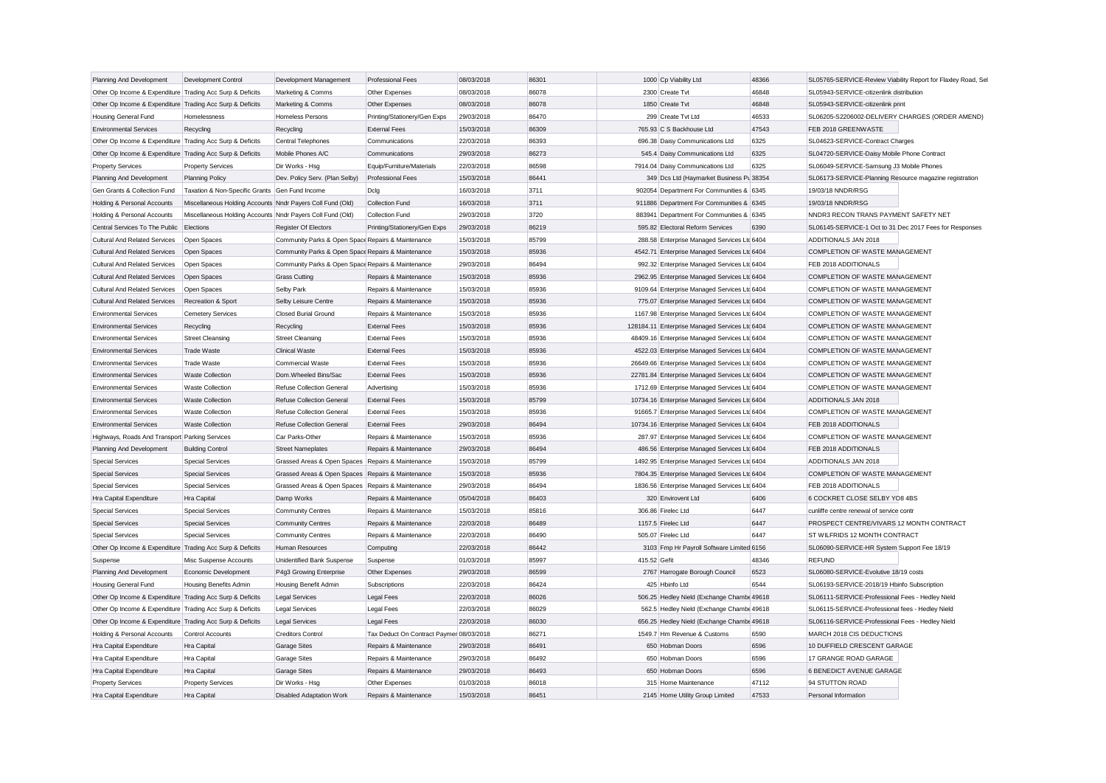| Planning And Development                                  | Development Control                                        | Development Management                             | <b>Professional Fees</b>                 | 08/03/2018 | 86301 |              | 1000 Cp Viability Ltd                          | 48366 | SL05765-SERVICE-Review Viability Report for Flaxley Road, Sel |  |
|-----------------------------------------------------------|------------------------------------------------------------|----------------------------------------------------|------------------------------------------|------------|-------|--------------|------------------------------------------------|-------|---------------------------------------------------------------|--|
| Other Op Income & Expenditure Trading Acc Surp & Deficits |                                                            | Marketing & Comms                                  | Other Expenses                           | 08/03/2018 | 86078 |              | 2300 Create Tvt                                | 46848 | SL05943-SERVICE-citizenlink distribution                      |  |
| Other Op Income & Expenditure Trading Acc Surp & Deficits |                                                            | Marketing & Comms                                  | Other Expenses                           | 08/03/2018 | 86078 |              | 1850 Create Tvt                                | 46848 | SL05943-SERVICE-citizenlink print                             |  |
| Housing General Fund                                      | Homelessness                                               | Homeless Persons                                   | Printing/Stationery/Gen Exps             | 29/03/2018 | 86470 |              | 299 Create Tvt Ltd                             | 46533 | SL06205-S2206002-DELIVERY CHARGES (ORDER AMEND)               |  |
| <b>Environmental Services</b>                             | Recycling                                                  | Recycling                                          | <b>External Fees</b>                     | 15/03/2018 | 86309 |              | 765.93 C S Backhouse Ltd                       | 47543 | FEB 2018 GREENWASTE                                           |  |
| Other Op Income & Expenditure Trading Acc Surp & Deficits |                                                            | Central Telephones                                 | Communications                           | 22/03/2018 | 86393 |              | 696.38 Daisy Communications Ltd                | 6325  | SL04623-SERVICE-Contract Charges                              |  |
| Other Op Income & Expenditure Trading Acc Surp & Deficits |                                                            | Mobile Phones A/C                                  | Communications                           | 29/03/2018 | 86273 |              | 545.4 Daisy Communications Ltd                 | 6325  | SL04720-SERVICE-Daisy Mobile Phone Contract                   |  |
| <b>Property Services</b>                                  | <b>Property Services</b>                                   | Dir Works - Hsg                                    | Equip/Furniture/Materials                | 22/03/2018 | 86598 |              | 7914.04 Daisy Communications Ltd               | 6325  | SL06049-SERVICE-Samsung J3 Mobile Phones                      |  |
| Planning And Development                                  | <b>Planning Policy</b>                                     | Dev. Policy Serv. (Plan Selby)                     | <b>Professional Fees</b>                 | 15/03/2018 | 86441 |              | 349 Dcs Ltd (Haymarket Business Pu 38354       |       | SL06173-SERVICE-Planning Resource magazine registration       |  |
| Gen Grants & Collection Fund                              | Taxation & Non-Specific Grants Gen Fund Income             |                                                    | Dclg                                     | 16/03/2018 | 3711  |              | 902054 Department For Communities & 6345       |       | 19/03/18 NNDR/RSG                                             |  |
| Holding & Personal Accounts                               | Miscellaneous Holding Accounts Nndr Payers Coll Fund (Old) |                                                    | Collection Fund                          | 16/03/2018 | 3711  |              | 911886 Department For Communities & 6345       |       | 19/03/18 NNDR/RSG                                             |  |
| Holding & Personal Accounts                               | Miscellaneous Holding Accounts Nndr Payers Coll Fund (Old) |                                                    | Collection Fund                          | 29/03/2018 | 3720  |              | 883941 Department For Communities & 6345       |       | NNDR3 RECON TRANS PAYMENT SAFETY NET                          |  |
| Central Services To The Public                            | Elections                                                  | <b>Register Of Electors</b>                        | Printing/Stationery/Gen Exps             | 29/03/2018 | 86219 |              | 595.82 Electoral Reform Services               | 6390  | SL06145-SERVICE-1 Oct to 31 Dec 2017 Fees for Responses       |  |
| <b>Cultural And Related Services</b>                      | Open Spaces                                                | Community Parks & Open Space Repairs & Maintenance |                                          | 15/03/2018 | 85799 |              | 288.58 Enterprise Managed Services Ltd 6404    |       | ADDITIONALS JAN 2018                                          |  |
| <b>Cultural And Related Services</b>                      | Open Spaces                                                | Community Parks & Open Space Repairs & Maintenance |                                          | 15/03/2018 | 85936 |              | 4542.71 Enterprise Managed Services Ltd 6404   |       | COMPLETION OF WASTE MANAGEMENT                                |  |
| <b>Cultural And Related Services</b>                      | Open Spaces                                                | Community Parks & Open Space Repairs & Maintenance |                                          | 29/03/2018 | 86494 |              | 992.32 Enterprise Managed Services Ltd 6404    |       | FEB 2018 ADDITIONALS                                          |  |
| <b>Cultural And Related Services</b>                      | Open Spaces                                                | <b>Grass Cutting</b>                               | Repairs & Maintenance                    | 15/03/2018 | 85936 |              | 2962.95 Enterprise Managed Services Ltd 6404   |       | COMPLETION OF WASTE MANAGEMENT                                |  |
| <b>Cultural And Related Services</b>                      | Open Spaces                                                | Selby Park                                         | Repairs & Maintenance                    | 15/03/2018 | 85936 |              | 9109.64 Enterprise Managed Services Ltd 6404   |       | COMPLETION OF WASTE MANAGEMENT                                |  |
| <b>Cultural And Related Services</b>                      | Recreation & Sport                                         | Selby Leisure Centre                               | Repairs & Maintenance                    | 15/03/2018 | 85936 |              | 775.07 Enterprise Managed Services Ltd 6404    |       | COMPLETION OF WASTE MANAGEMENT                                |  |
| <b>Environmental Services</b>                             | <b>Cemetery Services</b>                                   | Closed Burial Ground                               | Repairs & Maintenance                    | 15/03/2018 | 85936 |              | 1167.98 Enterprise Managed Services Ltd 6404   |       | COMPLETION OF WASTE MANAGEMENT                                |  |
| <b>Environmental Services</b>                             | Recycling                                                  | Recycling                                          | <b>External Fees</b>                     | 15/03/2018 | 85936 |              | 128184.11 Enterprise Managed Services Ltd 6404 |       | COMPLETION OF WASTE MANAGEMENT                                |  |
| <b>Environmental Services</b>                             | <b>Street Cleansing</b>                                    | <b>Street Cleansing</b>                            | <b>External Fees</b>                     | 15/03/2018 | 85936 |              | 48409.16 Enterprise Managed Services Ltd 6404  |       | COMPLETION OF WASTE MANAGEMENT                                |  |
| <b>Environmental Services</b>                             | <b>Trade Waste</b>                                         | <b>Clinical Waste</b>                              | <b>External Fees</b>                     | 15/03/2018 | 85936 |              | 4522.03 Enterprise Managed Services Ltc 6404   |       | COMPLETION OF WASTE MANAGEMENT                                |  |
| <b>Environmental Services</b>                             | <b>Trade Waste</b>                                         | Commercial Waste                                   | <b>External Fees</b>                     | 15/03/2018 | 85936 |              | 26649.66 Enterprise Managed Services Ltc 6404  |       | COMPLETION OF WASTE MANAGEMENT                                |  |
|                                                           |                                                            |                                                    |                                          |            |       |              |                                                |       |                                                               |  |
| <b>Environmental Services</b>                             | <b>Waste Collection</b>                                    | Dom.Wheeled Bins/Sac                               | <b>External Fees</b>                     | 15/03/2018 | 85936 |              | 22781.84 Enterprise Managed Services Ltd 6404  |       | COMPLETION OF WASTE MANAGEMENT                                |  |
| <b>Environmental Services</b>                             | <b>Waste Collection</b>                                    | Refuse Collection General                          | Advertising                              | 15/03/2018 | 85936 |              | 1712.69 Enterprise Managed Services Ltd 6404   |       | COMPLETION OF WASTE MANAGEMENT                                |  |
| <b>Environmental Services</b>                             | <b>Waste Collection</b>                                    | Refuse Collection General                          | <b>External Fees</b>                     | 15/03/2018 | 85799 |              | 10734.16 Enterprise Managed Services Ltc 6404  |       | ADDITIONALS JAN 2018                                          |  |
| <b>Environmental Services</b>                             | Waste Collection                                           | Refuse Collection General                          | External Fees                            | 15/03/2018 | 85936 |              | 91665.7 Enterprise Managed Services Ltd 6404   |       | COMPLETION OF WASTE MANAGEMENT                                |  |
| <b>Environmental Services</b>                             | <b>Waste Collection</b>                                    | Refuse Collection General                          | <b>External Fees</b>                     | 29/03/2018 | 86494 |              | 10734.16 Enterprise Managed Services Ltc 6404  |       | FEB 2018 ADDITIONALS                                          |  |
| Highways, Roads And Transport Parking Services            |                                                            | Car Parks-Other                                    | Repairs & Maintenance                    | 15/03/2018 | 85936 |              | 287.97 Enterprise Managed Services Ltd 6404    |       | COMPLETION OF WASTE MANAGEMENT                                |  |
| Planning And Development                                  | <b>Building Control</b>                                    | <b>Street Nameplates</b>                           | Repairs & Maintenance                    | 29/03/2018 | 86494 |              | 486.56 Enterprise Managed Services Ltd 6404    |       | FEB 2018 ADDITIONALS                                          |  |
| <b>Special Services</b>                                   | <b>Special Services</b>                                    | Grassed Areas & Open Spaces Repairs & Maintenance  |                                          | 15/03/2018 | 85799 |              | 1492.95 Enterprise Managed Services Ltd 6404   |       | ADDITIONALS JAN 2018                                          |  |
| <b>Special Services</b>                                   | <b>Special Services</b>                                    | Grassed Areas & Open Spaces Repairs & Maintenance  |                                          | 15/03/2018 | 85936 |              | 7804.35 Enterprise Managed Services Ltd 6404   |       | COMPLETION OF WASTE MANAGEMENT                                |  |
| <b>Special Services</b>                                   | <b>Special Services</b>                                    | Grassed Areas & Open Spaces Repairs & Maintenance  |                                          | 29/03/2018 | 86494 |              | 1836.56 Enterprise Managed Services Ltd 6404   |       | FEB 2018 ADDITIONALS                                          |  |
| Hra Capital Expenditure                                   | Hra Capital                                                | Damp Works                                         | Repairs & Maintenance                    | 05/04/2018 | 86403 |              | 320 Envirovent Ltd                             | 6406  | 6 COCKRET CLOSE SELBY YO8 4BS                                 |  |
| <b>Special Services</b>                                   | <b>Special Services</b>                                    | <b>Community Centres</b>                           | Repairs & Maintenance                    | 15/03/2018 | 85816 |              | 306.86 Firelec Ltd                             | 6447  | cunliffe centre renewal of service contr                      |  |
| <b>Special Services</b>                                   | <b>Special Services</b>                                    | <b>Community Centres</b>                           | Repairs & Maintenance                    | 22/03/2018 | 86489 |              | 1157.5 Firelec Ltd                             | 6447  | PROSPECT CENTRE/VIVARS 12 MONTH CONTRACT                      |  |
| <b>Special Services</b>                                   | <b>Special Services</b>                                    | <b>Community Centres</b>                           | Repairs & Maintenance                    | 22/03/2018 | 86490 |              | 505.07 Firelec Ltd                             | 6447  | ST WILFRIDS 12 MONTH CONTRACT                                 |  |
| Other Op Income & Expenditure Trading Acc Surp & Deficits |                                                            | Human Resources                                    | Computing                                | 22/03/2018 | 86442 |              | 3103 Fmp Hr Payroll Software Limited 6156      |       | SL06090-SERVICE-HR System Support Fee 18/19                   |  |
| Suspense                                                  | Misc Suspense Accounts                                     | Unidentified Bank Suspense                         | Suspense                                 | 01/03/2018 | 85997 | 415.52 Gefit |                                                | 48346 | <b>REFUND</b>                                                 |  |
| Planning And Development                                  | Economic Development                                       | P4g3 Growing Enterprise                            | Other Expenses                           | 29/03/2018 | 86599 |              | 2767 Harrogate Borough Council                 | 6523  | SL06080-SERVICE-Evolutive 18/19 costs                         |  |
| Housing General Fund                                      | Housing Benefits Admin                                     | <b>Housing Benefit Admin</b>                       | Subscriptions                            | 22/03/2018 | 86424 |              | 425 Hbinfo Ltd                                 | 6544  | SL06193-SERVICE-2018/19 Hbinfo Subscription                   |  |
| Other Op Income & Expenditure Trading Acc Surp & Deficits |                                                            | Legal Services                                     | <b>Legal Fees</b>                        | 22/03/2018 | 86026 |              | 506.25 Hedley Nield (Exchange Chambe 49618     |       | SL06111-SERVICE-Professional Fees - Hedley Nield              |  |
| Other Op Income & Expenditure Trading Acc Surp & Deficits |                                                            | <b>Legal Services</b>                              | <b>Legal Fees</b>                        | 22/03/2018 | 86029 |              | 562.5 Hedley Nield (Exchange Chambe 49618      |       | SL06115-SERVICE-Professional fees - Hedley Nield              |  |
| Other Op Income & Expenditure Trading Acc Surp & Deficits |                                                            | Legal Services                                     | Legal Fees                               | 22/03/2018 | 86030 |              | 656.25 Hedley Nield (Exchange Chambe 49618     |       | SL06116-SERVICE-Professional Fees - Hedley Nield              |  |
| Holding & Personal Accounts                               | Control Accounts                                           | <b>Creditors Control</b>                           | Tax Deduct On Contract Paymer 08/03/2018 |            | 86271 |              | 1549.7 Hm Revenue & Customs                    | 6590  | MARCH 2018 CIS DEDUCTIONS                                     |  |
| Hra Capital Expenditure                                   | Hra Capital                                                | <b>Garage Sites</b>                                | Repairs & Maintenance                    | 29/03/2018 | 86491 |              | 650 Hobman Doors                               | 6596  | 10 DUFFIELD CRESCENT GARAGE                                   |  |
| Hra Capital Expenditure                                   | Hra Capital                                                | <b>Garage Sites</b>                                | Repairs & Maintenance                    | 29/03/2018 | 86492 |              | 650 Hobman Doors                               | 6596  | 17 GRANGE ROAD GARAGE                                         |  |
| Hra Capital Expenditure                                   | Hra Capital                                                | <b>Garage Sites</b>                                | Repairs & Maintenance                    | 29/03/2018 | 86493 |              | 650 Hobman Doors                               | 6596  | 6 BENEDICT AVENUE GARAGE                                      |  |
| <b>Property Services</b>                                  | <b>Property Services</b>                                   | Dir Works - Hsg                                    | Other Expenses                           | 01/03/2018 | 86018 |              | 315 Home Maintenance                           | 47112 | 94 STUTTON ROAD                                               |  |
| Hra Capital Expenditure                                   | Hra Capital                                                | <b>Disabled Adaptation Work</b>                    | Repairs & Maintenance                    | 15/03/2018 | 86451 |              | 2145 Home Utility Group Limited                | 47533 | Personal Information                                          |  |
|                                                           |                                                            |                                                    |                                          |            |       |              |                                                |       |                                                               |  |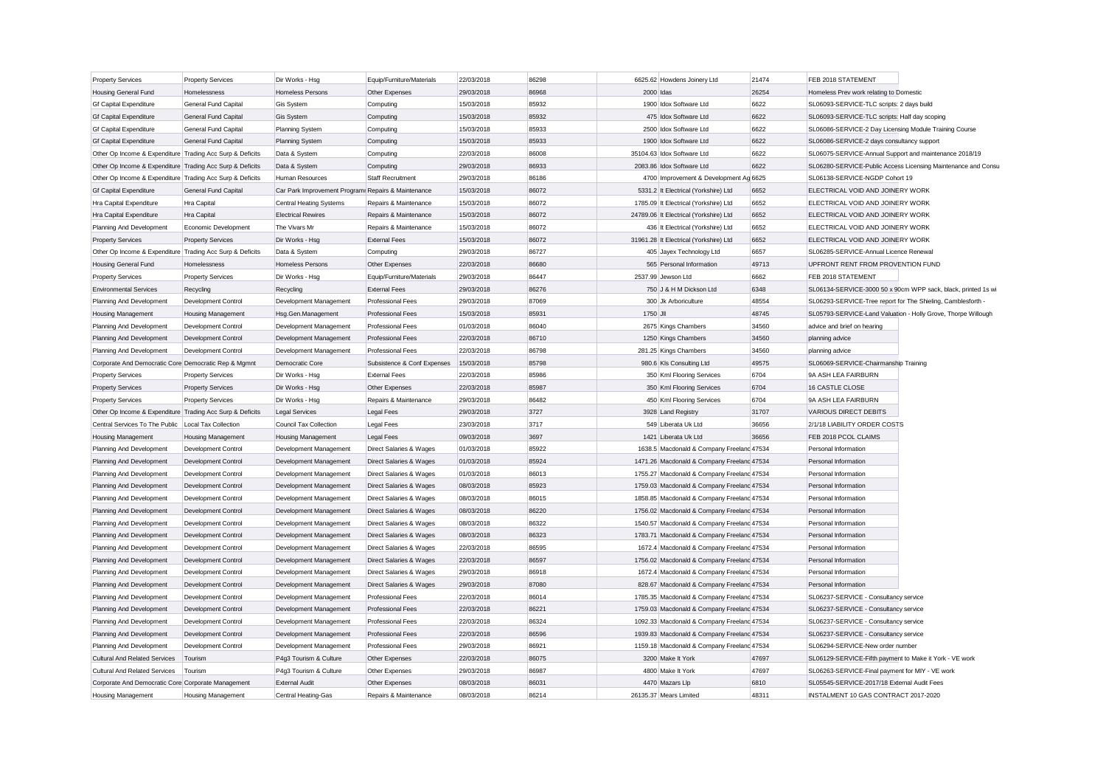| <b>Property Services</b>                                  | <b>Property Services</b>    | Dir Works - Hsg                                     | Equip/Furniture/Materials   | 22/03/2018 | 86298 |           | 6625.62 Howdens Joinery Ltd                | 21474 | FEB 2018 STATEMENT                                            |                                                               |
|-----------------------------------------------------------|-----------------------------|-----------------------------------------------------|-----------------------------|------------|-------|-----------|--------------------------------------------|-------|---------------------------------------------------------------|---------------------------------------------------------------|
| <b>Housing General Fund</b>                               | Homelessness                | <b>Homeless Persons</b>                             | Other Expenses              | 29/03/2018 | 86968 | 2000 Idas |                                            | 26254 | Homeless Prev work relating to Domestic                       |                                                               |
| <b>Gf Capital Expenditure</b>                             | General Fund Capital        | <b>Gis System</b>                                   | Computing                   | 15/03/2018 | 85932 |           | 1900 Idox Software Ltd                     | 6622  | SL06093-SERVICE-TLC scripts: 2 days build                     |                                                               |
| <b>Gf Capital Expenditure</b>                             | <b>General Fund Capital</b> | <b>Gis System</b>                                   | Computing                   | 15/03/2018 | 85932 |           | 475 Idox Software Ltd                      | 6622  | SL06093-SERVICE-TLC scripts: Half day scoping                 |                                                               |
| <b>Gf Capital Expenditure</b>                             | General Fund Capital        | <b>Planning System</b>                              | Computing                   | 15/03/2018 | 85933 |           | 2500 Idox Software Ltd                     | 6622  | SL06086-SERVICE-2 Day Licensing Module Training Course        |                                                               |
| <b>Gf Capital Expenditure</b>                             | General Fund Capital        | <b>Planning System</b>                              | Computing                   | 15/03/2018 | 85933 |           | 1900 Idox Software Ltd                     | 6622  | SL06086-SERVICE-2 days consultancy support                    |                                                               |
| Other Op Income & Expenditure Trading Acc Surp & Deficits |                             | Data & System                                       | Computing                   | 22/03/2018 | 86008 |           | 35104.63 Idox Software Ltd                 | 6622  | SL06075-SERVICE-Annual Support and maintenance 2018/19        |                                                               |
| Other Op Income & Expenditure Trading Acc Surp & Deficits |                             | Data & System                                       | Computing                   | 29/03/2018 | 86933 |           | 2083.86 Idox Software Ltd                  | 6622  |                                                               | SL06280-SERVICE-Public Access Licensing Maintenance and Consu |
| Other Op Income & Expenditure Trading Acc Surp & Deficits |                             | Human Resources                                     | <b>Staff Recruitment</b>    | 29/03/2018 | 86186 |           | 4700 Improvement & Development Ag 6625     |       | SL06138-SERVICE-NGDP Cohort 19                                |                                                               |
| <b>Gf Capital Expenditure</b>                             | General Fund Capital        | Car Park Improvement Program: Repairs & Maintenance |                             | 15/03/2018 | 86072 |           | 5331.2 It Electrical (Yorkshire) Ltd       | 6652  | ELECTRICAL VOID AND JOINERY WORK                              |                                                               |
| Hra Capital Expenditure                                   | Hra Capital                 | <b>Central Heating Systems</b>                      | Repairs & Maintenance       | 15/03/2018 | 86072 |           | 1785.09 It Electrical (Yorkshire) Ltd      | 6652  | ELECTRICAL VOID AND JOINERY WORK                              |                                                               |
| Hra Capital Expenditure                                   | Hra Capital                 | <b>Electrical Rewires</b>                           | Repairs & Maintenance       | 15/03/2018 | 86072 |           | 24789.06 It Electrical (Yorkshire) Ltd     | 6652  | ELECTRICAL VOID AND JOINERY WORK                              |                                                               |
| Planning And Development                                  | Economic Development        | The Vivars Mr                                       | Repairs & Maintenance       | 15/03/2018 | 86072 |           | 436 It Electrical (Yorkshire) Ltd          | 6652  | ELECTRICAL VOID AND JOINERY WORK                              |                                                               |
| <b>Property Services</b>                                  | <b>Property Services</b>    | Dir Works - Hsg                                     | <b>External Fees</b>        | 15/03/2018 | 86072 |           | 31961.28 It Electrical (Yorkshire) Ltd     | 6652  | ELECTRICAL VOID AND JOINERY WORK                              |                                                               |
| Other Op Income & Expenditure Trading Acc Surp & Deficits |                             | Data & System                                       | Computing                   | 29/03/2018 | 86727 |           | 405 Jayex Technology Ltd                   | 6657  | SL06285-SERVICE-Annual Licence Renewal                        |                                                               |
| <b>Housing General Fund</b>                               | Homelessness                | <b>Homeless Persons</b>                             | Other Expenses              | 22/03/2018 | 86680 |           | 565 Personal Information                   | 49713 | UPFRONT RENT FROM PROVENTION FUND                             |                                                               |
| <b>Property Services</b>                                  | <b>Property Services</b>    | Dir Works - Hsg                                     | Equip/Furniture/Materials   | 29/03/2018 | 86447 |           | 2537.99 Jewson Ltd                         | 6662  | FEB 2018 STATEMENT                                            |                                                               |
| <b>Environmental Services</b>                             | Recycling                   | Recycling                                           | <b>External Fees</b>        | 29/03/2018 | 86276 |           | 750 J & H M Dickson Ltd                    | 6348  |                                                               | SL06134-SERVICE-3000 50 x 90cm WPP sack, black, printed 1s wi |
| Planning And Development                                  | Development Control         | Development Management                              | Professional Fees           | 29/03/2018 | 87069 |           | 300 Jk Arboriculture                       | 48554 | SL06293-SERVICE-Tree report for The Shieling, Camblesforth -  |                                                               |
| Housing Management                                        | <b>Housing Management</b>   | Hsg.Gen.Management                                  | <b>Professional Fees</b>    | 15/03/2018 | 85931 | 1750 JII  |                                            | 48745 | SL05793-SERVICE-Land Valuation - Holly Grove, Thorpe Willough |                                                               |
| Planning And Development                                  | Development Control         | Development Management                              | <b>Professional Fees</b>    | 01/03/2018 | 86040 |           | 2675 Kings Chambers                        | 34560 | advice and brief on hearing                                   |                                                               |
| Planning And Development                                  | <b>Development Control</b>  | Development Management                              | <b>Professional Fees</b>    | 22/03/2018 | 86710 |           | 1250 Kings Chambers                        | 34560 | planning advice                                               |                                                               |
| Planning And Development                                  | Development Control         | Development Management                              | <b>Professional Fees</b>    | 22/03/2018 | 86798 |           | 281.25 Kings Chambers                      | 34560 | planning advice                                               |                                                               |
| Corporate And Democratic Core Democratic Rep & Mgmnt      |                             | Democratic Core                                     | Subsistence & Conf Expenses | 15/03/2018 | 85798 |           | 980.6 KIs Consulting Ltd                   | 49575 | SL06069-SERVICE-Chairmanship Training                         |                                                               |
|                                                           |                             |                                                     |                             |            |       |           |                                            |       | 9A ASH LEA FAIRBURN                                           |                                                               |
| <b>Property Services</b>                                  | <b>Property Services</b>    | Dir Works - Hsg                                     | <b>External Fees</b>        | 22/03/2018 | 85986 |           | 350 Kml Flooring Services                  | 6704  |                                                               |                                                               |
| <b>Property Services</b>                                  | <b>Property Services</b>    | Dir Works - Hsg                                     | Other Expenses              | 22/03/2018 | 85987 |           | 350 Kml Flooring Services                  | 6704  | 16 CASTLE CLOSE                                               |                                                               |
| <b>Property Services</b>                                  | <b>Property Services</b>    | Dir Works - Hsg                                     | Repairs & Maintenance       | 29/03/2018 | 86482 |           | 450 Kml Flooring Services                  | 6704  | 9A ASH LEA FAIRBURN                                           |                                                               |
| Other Op Income & Expenditure Trading Acc Surp & Deficits |                             | Legal Services                                      | <b>Legal Fees</b>           | 29/03/2018 | 3727  |           | 3928 Land Registry                         | 31707 | <b>VARIOUS DIRECT DEBITS</b>                                  |                                                               |
| Central Services To The Public                            | Local Tax Collection        | Council Tax Collection                              | Legal Fees                  | 23/03/2018 | 3717  |           | 549 Liberata Uk Ltd                        | 36656 | 2/1/18 LIABILITY ORDER COSTS                                  |                                                               |
| <b>Housing Management</b>                                 | <b>Housing Management</b>   | <b>Housing Management</b>                           | <b>Legal Fees</b>           | 09/03/2018 | 3697  |           | 1421 Liberata Uk Ltd                       | 36656 | FEB 2018 PCOL CLAIMS                                          |                                                               |
| Planning And Development                                  | Development Control         | Development Management                              | Direct Salaries & Wages     | 01/03/2018 | 85922 |           | 1638.5 Macdonald & Company Freeland 47534  |       | Personal Information                                          |                                                               |
| Planning And Development                                  | Development Control         | Development Management                              | Direct Salaries & Wages     | 01/03/2018 | 85924 |           | 1471.26 Macdonald & Company Freelanc 47534 |       | Personal Information                                          |                                                               |
| Planning And Development                                  | Development Control         | Development Management                              | Direct Salaries & Wages     | 01/03/2018 | 86013 |           | 1755.27 Macdonald & Company Freeland 47534 |       | Personal Information                                          |                                                               |
| Planning And Development                                  | Development Control         | Development Management                              | Direct Salaries & Wages     | 08/03/2018 | 85923 |           | 1759.03 Macdonald & Company Freelanc 47534 |       | Personal Information                                          |                                                               |
| Planning And Development                                  | Development Control         | Development Management                              | Direct Salaries & Wages     | 08/03/2018 | 86015 |           | 1858.85 Macdonald & Company Freeland 47534 |       | Personal Information                                          |                                                               |
| Planning And Development                                  | Development Control         | Development Management                              | Direct Salaries & Wages     | 08/03/2018 | 86220 |           | 1756.02 Macdonald & Company Freelanc 47534 |       | Personal Information                                          |                                                               |
| Planning And Development                                  | Development Control         | Development Management                              | Direct Salaries & Wages     | 08/03/2018 | 86322 |           | 1540.57 Macdonald & Company Freeland 47534 |       | Personal Information                                          |                                                               |
| Planning And Development                                  | <b>Development Control</b>  | Development Management                              | Direct Salaries & Wages     | 08/03/2018 | 86323 |           | 1783.71 Macdonald & Company Freeland 47534 |       | Personal Information                                          |                                                               |
| Planning And Development                                  | Development Control         | Development Management                              | Direct Salaries & Wages     | 22/03/2018 | 86595 |           | 1672.4 Macdonald & Company Freeland 47534  |       | Personal Information                                          |                                                               |
| Planning And Development                                  | Development Control         | Development Management                              | Direct Salaries & Wages     | 22/03/2018 | 86597 |           | 1756.02 Macdonald & Company Freelanc 47534 |       | Personal Information                                          |                                                               |
| Planning And Development                                  | Development Control         | Development Management                              | Direct Salaries & Wages     | 29/03/2018 | 86918 |           | 1672.4 Macdonald & Company Freeland 47534  |       | Personal Information                                          |                                                               |
| Planning And Development                                  | Development Control         | Development Management                              | Direct Salaries & Wages     | 29/03/2018 | 87080 |           | 828.67 Macdonald & Company Freelanc 47534  |       | Personal Information                                          |                                                               |
| Planning And Development                                  | Development Control         | Development Management                              | <b>Professional Fees</b>    | 22/03/2018 | 86014 |           | 1785.35 Macdonald & Company Freeland 47534 |       | SL06237-SERVICE - Consultancy service                         |                                                               |
| Planning And Development                                  | <b>Development Control</b>  | Development Management                              | Professional Fees           | 22/03/2018 | 86221 |           | 1759.03 Macdonald & Company Freeland 47534 |       | SL06237-SERVICE - Consultancy service                         |                                                               |
| Planning And Development                                  | Development Control         | Development Management                              | <b>Professional Fees</b>    | 22/03/2018 | 86324 |           | 1092.33 Macdonald & Company Freeland 47534 |       | SL06237-SERVICE - Consultancy service                         |                                                               |
| Planning And Development                                  | <b>Development Control</b>  | Development Management                              | <b>Professional Fees</b>    | 22/03/2018 | 86596 |           | 1939.83 Macdonald & Company Freeland 47534 |       | SL06237-SERVICE - Consultancy service                         |                                                               |
| Planning And Development                                  | Development Control         | Development Management                              | <b>Professional Fees</b>    | 29/03/2018 | 86921 |           | 1159.18 Macdonald & Company Freeland 47534 |       | SL06294-SERVICE-New order number                              |                                                               |
| <b>Cultural And Related Services</b>                      | Tourism                     | P4g3 Tourism & Culture                              | Other Expenses              | 22/03/2018 | 86075 |           | 3200 Make It York                          | 47697 | SL06129-SERVICE-Fifth payment to Make it York - VE work       |                                                               |
| <b>Cultural And Related Services</b>                      | Tourism                     | P4g3 Tourism & Culture                              | Other Expenses              | 29/03/2018 | 86987 |           | 4800 Make It York                          | 47697 | SL06263-SERVICE-Final payment for MIY - VE work               |                                                               |
| Corporate And Democratic Core Corporate Management        |                             | <b>External Audit</b>                               | Other Expenses              | 08/03/2018 | 86031 |           | 4470 Mazars Llp                            | 6810  | SL05545-SERVICE-2017/18 External Audit Fees                   |                                                               |
| <b>Housing Management</b>                                 | <b>Housing Management</b>   | Central Heating-Gas                                 | Repairs & Maintenance       | 08/03/2018 | 86214 |           | 26135.37 Mears Limited                     | 48311 | INSTALMENT 10 GAS CONTRACT 2017-2020                          |                                                               |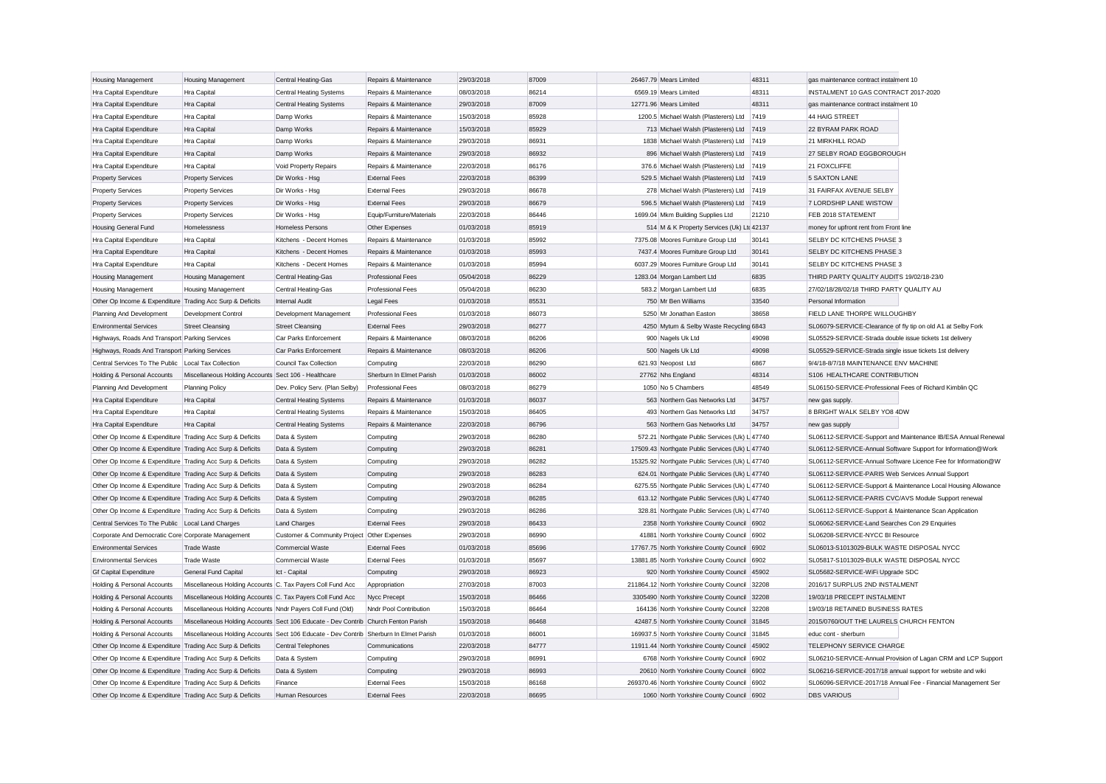| <b>Housing Management</b>                                                                | Housing Management                                                                     | Central Heating-Gas                         | Repairs & Maintenance     | 29/03/2018 | 87009 | 26467.79 Mears Limited                          | 48311 | gas maintenance contract instalment 10                        |
|------------------------------------------------------------------------------------------|----------------------------------------------------------------------------------------|---------------------------------------------|---------------------------|------------|-------|-------------------------------------------------|-------|---------------------------------------------------------------|
| Hra Capital Expenditure                                                                  | Hra Capital                                                                            | Central Heating Systems                     | Repairs & Maintenance     | 08/03/2018 | 86214 | 6569.19 Mears Limited                           | 48311 | INSTALMENT 10 GAS CONTRACT 2017-2020                          |
| Hra Capital Expenditure                                                                  | Hra Capital                                                                            | <b>Central Heating Systems</b>              | Repairs & Maintenance     | 29/03/2018 | 87009 | 12771.96 Mears Limited                          | 48311 | gas maintenance contract instalment 10                        |
| Hra Capital Expenditure                                                                  | Hra Capital                                                                            | Damp Works                                  | Repairs & Maintenance     | 15/03/2018 | 85928 | 1200.5 Michael Walsh (Plasterers) Ltd           | 7419  | 44 HAIG STREET                                                |
| Hra Capital Expenditure                                                                  | Hra Capital                                                                            | Damp Works                                  | Repairs & Maintenance     | 15/03/2018 | 85929 | 713 Michael Walsh (Plasterers) Ltd              | 7419  | 22 BYRAM PARK ROAD                                            |
| Hra Capital Expenditure                                                                  | <b>Hra Capital</b>                                                                     | Damp Works                                  | Repairs & Maintenance     | 29/03/2018 | 86931 | 1838 Michael Walsh (Plasterers) Ltd 7419        |       | 21 MIRKHILL ROAD                                              |
| Hra Capital Expenditure                                                                  | Hra Capital                                                                            | Damp Works                                  | Repairs & Maintenance     | 29/03/2018 | 86932 | 896 Michael Walsh (Plasterers) Ltd 7419         |       | 27 SELBY ROAD EGGBOROUGH                                      |
| Hra Capital Expenditure                                                                  | Hra Capital                                                                            | Void Property Repairs                       | Repairs & Maintenance     | 22/03/2018 | 86176 | 376.6 Michael Walsh (Plasterers) Ltd 7419       |       | 21 FOXCLIFFE                                                  |
| <b>Property Services</b>                                                                 | <b>Property Services</b>                                                               | Dir Works - Hsg                             | <b>External Fees</b>      | 22/03/2018 | 86399 | 529.5 Michael Walsh (Plasterers) Ltd 7419       |       | <b>5 SAXTON LANE</b>                                          |
| <b>Property Services</b>                                                                 | <b>Property Services</b>                                                               | Dir Works - Hsg                             | <b>External Fees</b>      | 29/03/2018 | 86678 | 278 Michael Walsh (Plasterers) Ltd 7419         |       | 31 FAIRFAX AVENUE SELBY                                       |
| <b>Property Services</b>                                                                 | <b>Property Services</b>                                                               | Dir Works - Hsg                             | <b>External Fees</b>      | 29/03/2018 | 86679 | 596.5 Michael Walsh (Plasterers) Ltd            | 7419  | 7 LORDSHIP LANE WISTOW                                        |
| <b>Property Services</b>                                                                 | <b>Property Services</b>                                                               | Dir Works - Hsg                             | Equip/Furniture/Materials | 22/03/2018 | 86446 | 1699.04 Mkm Building Supplies Ltd               | 21210 | FEB 2018 STATEMENT                                            |
| <b>Housing General Fund</b>                                                              | Homelessness                                                                           | <b>Homeless Persons</b>                     | Other Expenses            | 01/03/2018 | 85919 | 514 M & K Property Services (Uk) Ltd 42137      |       | money for upfront rent from Front line                        |
| Hra Capital Expenditure                                                                  | Hra Capital                                                                            | Kitchens - Decent Homes                     | Repairs & Maintenance     | 01/03/2018 | 85992 | 7375.08 Moores Furniture Group Ltd              | 30141 | SELBY DC KITCHENS PHASE 3                                     |
| Hra Capital Expenditure                                                                  | Hra Capital                                                                            | Kitchens - Decent Homes                     | Repairs & Maintenance     | 01/03/2018 | 85993 | 7437.4 Moores Furniture Group Ltd               | 30141 | SELBY DC KITCHENS PHASE 3                                     |
| Hra Capital Expenditure                                                                  | Hra Capital                                                                            | Kitchens - Decent Homes                     | Repairs & Maintenance     | 01/03/2018 | 85994 | 6037.29 Moores Furniture Group Ltd              | 30141 | SELBY DC KITCHENS PHASE 3                                     |
| <b>Housing Management</b>                                                                | Housing Management                                                                     | Central Heating-Gas                         | <b>Professional Fees</b>  | 05/04/2018 | 86229 | 1283.04 Morgan Lambert Ltd                      | 6835  | THIRD PARTY QUALITY AUDITS 19/02/18-23/0                      |
| <b>Housing Management</b>                                                                | Housing Management                                                                     | Central Heating-Gas                         | Professional Fees         | 05/04/2018 | 86230 | 583.2 Morgan Lambert Ltd                        | 6835  | 27/02/18/28/02/18 THIRD PARTY QUALITY AU                      |
| Other Op Income & Expenditure Trading Acc Surp & Deficits                                |                                                                                        | Internal Audit                              | Legal Fees                | 01/03/2018 | 85531 | 750 Mr Ben Williams                             | 33540 | Personal Information                                          |
| Planning And Development                                                                 | Development Control                                                                    | Development Management                      | Professional Fees         | 01/03/2018 | 86073 | 5250 Mr Jonathan Easton                         | 38658 | FIELD LANE THORPE WILLOUGHBY                                  |
| <b>Environmental Services</b>                                                            | <b>Street Cleansing</b>                                                                | <b>Street Cleansing</b>                     | <b>External Fees</b>      | 29/03/2018 | 86277 | 4250 Mytum & Selby Waste Recycling 6843         |       | SL06079-SERVICE-Clearance of fly tip on old A1 at Selby Fork  |
| Highways, Roads And Transport Parking Services                                           |                                                                                        | Car Parks Enforcement                       | Repairs & Maintenance     | 08/03/2018 | 86206 | 900 Nagels Uk Ltd                               | 49098 | SL05529-SERVICE-Strada double issue tickets 1st delivery      |
| Highways, Roads And Transport Parking Services                                           |                                                                                        | Car Parks Enforcement                       | Repairs & Maintenance     | 08/03/2018 | 86206 | 500 Nagels Uk Ltd                               | 49098 | SL05529-SERVICE-Strada single issue tickets 1st delivery      |
| Central Services To The Public   Local Tax Collection                                    |                                                                                        | Council Tax Collection                      | Computing                 | 22/03/2018 | 86290 | 621.93 Neopost Ltd                              | 6867  | 9/4/18-8/7/18 MAINTENANCE ENV MACHINE                         |
| Holding & Personal Accounts                                                              | Miscellaneous Holding Accounts Sect 106 - Healthcare                                   |                                             | Sherburn In Elmet Parish  | 01/03/2018 | 86002 | 27762 Nhs England                               | 48314 | S106 HEALTHCARE CONTRIBUTION                                  |
| Planning And Development                                                                 | Planning Policy                                                                        | Dev. Policy Serv. (Plan Selby)              | <b>Professional Fees</b>  | 08/03/2018 | 86279 | 1050 No 5 Chambers                              | 48549 | SL06150-SERVICE-Professional Fees of Richard Kimblin QC       |
| Hra Capital Expenditure                                                                  | Hra Capital                                                                            | <b>Central Heating Systems</b>              | Repairs & Maintenance     | 01/03/2018 | 86037 | 563 Northern Gas Networks Ltd                   | 34757 | new gas supply.                                               |
| Hra Capital Expenditure                                                                  | Hra Capital                                                                            | <b>Central Heating Systems</b>              | Repairs & Maintenance     | 15/03/2018 | 86405 | 493 Northern Gas Networks Ltd                   | 34757 | 8 BRIGHT WALK SELBY YO8 4DW                                   |
| Hra Capital Expenditure                                                                  | Hra Capital                                                                            | <b>Central Heating Systems</b>              | Repairs & Maintenance     | 22/03/2018 | 86796 | 563 Northern Gas Networks Ltd                   | 34757 | new gas supply                                                |
| Other Op Income & Expenditure Trading Acc Surp & Deficits                                |                                                                                        | Data & System                               | Computing                 | 29/03/2018 | 86280 | 572.21 Northgate Public Services (Uk) L 47740   |       | SL06112-SERVICE-Support and Maintenance IB/ESA Annual Renewa  |
| Other Op Income & Expenditure Trading Acc Surp & Deficits                                |                                                                                        | Data & System                               | Computing                 | 29/03/2018 | 86281 | 17509.43 Northgate Public Services (Uk) L 47740 |       | SL06112-SERVICE-Annual Software Support for Information@Work  |
| Other Op Income & Expenditure Trading Acc Surp & Deficits                                |                                                                                        | Data & System                               | Computing                 | 29/03/2018 | 86282 | 15325.92 Northgate Public Services (Uk) L 47740 |       | SL06112-SERVICE-Annual Software Licence Fee for Information@W |
| Other Op Income & Expenditure Trading Acc Surp & Deficits                                |                                                                                        | Data & System                               | Computing                 | 29/03/2018 | 86283 | 624.01 Northgate Public Services (Uk) L 47740   |       | SL06112-SERVICE-PARIS Web Services Annual Support             |
| Other Op Income & Expenditure Trading Acc Surp & Deficits                                |                                                                                        | Data & System                               | Computing                 | 29/03/2018 | 86284 | 6275.55 Northgate Public Services (Uk) L 47740  |       | SL06112-SERVICE-Support & Maintenance Local Housing Allowance |
| Other Op Income & Expenditure Trading Acc Surp & Deficits                                |                                                                                        | Data & System                               | Computing                 | 29/03/2018 | 86285 | 613.12 Northgate Public Services (Uk) L 47740   |       | SL06112-SERVICE-PARIS CVC/AVS Module Support renewal          |
| Other Op Income & Expenditure Trading Acc Surp & Deficits                                |                                                                                        | Data & System                               | Computing                 | 29/03/2018 | 86286 | 328.81 Northgate Public Services (Uk) L 47740   |       | SL06112-SERVICE-Support & Maintenance Scan Application        |
| Central Services To The Public Local Land Charges                                        |                                                                                        | Land Charges                                | <b>External Fees</b>      | 29/03/2018 | 86433 | 2358 North Yorkshire County Council 6902        |       | SL06062-SERVICE-Land Searches Con 29 Enquiries                |
| Corporate And Democratic Core Corporate Management                                       |                                                                                        | Customer & Community Project Other Expenses |                           | 29/03/2018 | 86990 | 41881 North Yorkshire County Council 6902       |       | SL06208-SERVICE-NYCC BI Resource                              |
| <b>Environmental Services</b>                                                            | <b>Trade Waste</b>                                                                     | Commercial Waste                            | <b>External Fees</b>      | 01/03/2018 | 85696 | 17767.75 North Yorkshire County Council 6902    |       | SL06013-S1013029-BULK WASTE DISPOSAL NYCC                     |
| <b>Environmental Services</b>                                                            | <b>Trade Waste</b>                                                                     | Commercial Waste                            | <b>External Fees</b>      | 01/03/2018 | 85697 | 13881.85 North Yorkshire County Council 6902    |       | SL05817-S1013029-BULK WASTE DISPOSAL NYCC                     |
| <b>Gf Capital Expenditure</b>                                                            | General Fund Capital                                                                   | Ict - Capital                               | Computing                 | 29/03/2018 | 86923 | 920 North Yorkshire County Council 45902        |       | SL05682-SERVICE-WiFi Upgrade SDC                              |
| Holding & Personal Accounts                                                              | Miscellaneous Holding Accounts C. Tax Payers Coll Fund Acc                             |                                             | Appropriation             | 27/03/2018 | 87003 | 211864.12 North Yorkshire County Council 32208  |       | 2016/17 SURPLUS 2ND INSTALMENT                                |
| <b>Holding &amp; Personal Accounts</b>                                                   | Miscellaneous Holding Accounts C. Tax Payers Coll Fund Acc                             |                                             | Nycc Precept              | 15/03/2018 | 86466 | 3305490 North Yorkshire County Council 32208    |       | 19/03/18 PRECEPT INSTALMENT                                   |
| Holding & Personal Accounts                                                              | Miscellaneous Holding Accounts Nndr Payers Coll Fund (Old)                             |                                             | Nndr Pool Contribution    | 15/03/2018 | 86464 | 164136 North Yorkshire County Council 32208     |       | 19/03/18 RETAINED BUSINESS RATES                              |
| Holding & Personal Accounts                                                              | Miscellaneous Holding Accounts Sect 106 Educate - Dev Contrib Church Fenton Parish     |                                             |                           | 15/03/2018 | 86468 | 42487.5 North Yorkshire County Council 31845    |       | 2015/0760/OUT THE LAURELS CHURCH FENTON                       |
|                                                                                          |                                                                                        |                                             |                           | 01/03/2018 | 86001 | 169937.5 North Yorkshire County Council 31845   |       | educ cont - sherburn                                          |
| Holding & Personal Accounts<br>Other Op Income & Expenditure Trading Acc Surp & Deficits | Miscellaneous Holding Accounts Sect 106 Educate - Dev Contrib Sherburn In Elmet Parish | Central Telephones                          | Communications            | 22/03/2018 | 84777 | 11911.44 North Yorkshire County Council 45902   |       | TELEPHONY SERVICE CHARGE                                      |
| Other Op Income & Expenditure Trading Acc Surp & Deficits                                |                                                                                        | Data & System                               | Computing                 | 29/03/2018 | 86991 | 6768 North Yorkshire County Council 6902        |       | SL06210-SERVICE-Annual Provision of Lagan CRM and LCP Support |
| Other Op Income & Expenditure Trading Acc Surp & Deficits                                |                                                                                        | Data & System                               | Computing                 | 29/03/2018 | 86993 | 20610 North Yorkshire County Council            | 6902  | SL06216-SERVICE-2017/18 annual support for website and wiki   |
| Other Op Income & Expenditure Trading Acc Surp & Deficits                                |                                                                                        | Finance                                     | <b>External Fees</b>      | 15/03/2018 | 86168 | 269370.46 North Yorkshire County Council 6902   |       | SL06096-SERVICE-2017/18 Annual Fee - Financial Management Ser |
| Other Op Income & Expenditure Trading Acc Surp & Deficits                                |                                                                                        | Human Resources                             | <b>External Fees</b>      | 22/03/2018 | 86695 | 1060 North Yorkshire County Council 6902        |       | <b>DBS VARIOUS</b>                                            |
|                                                                                          |                                                                                        |                                             |                           |            |       |                                                 |       |                                                               |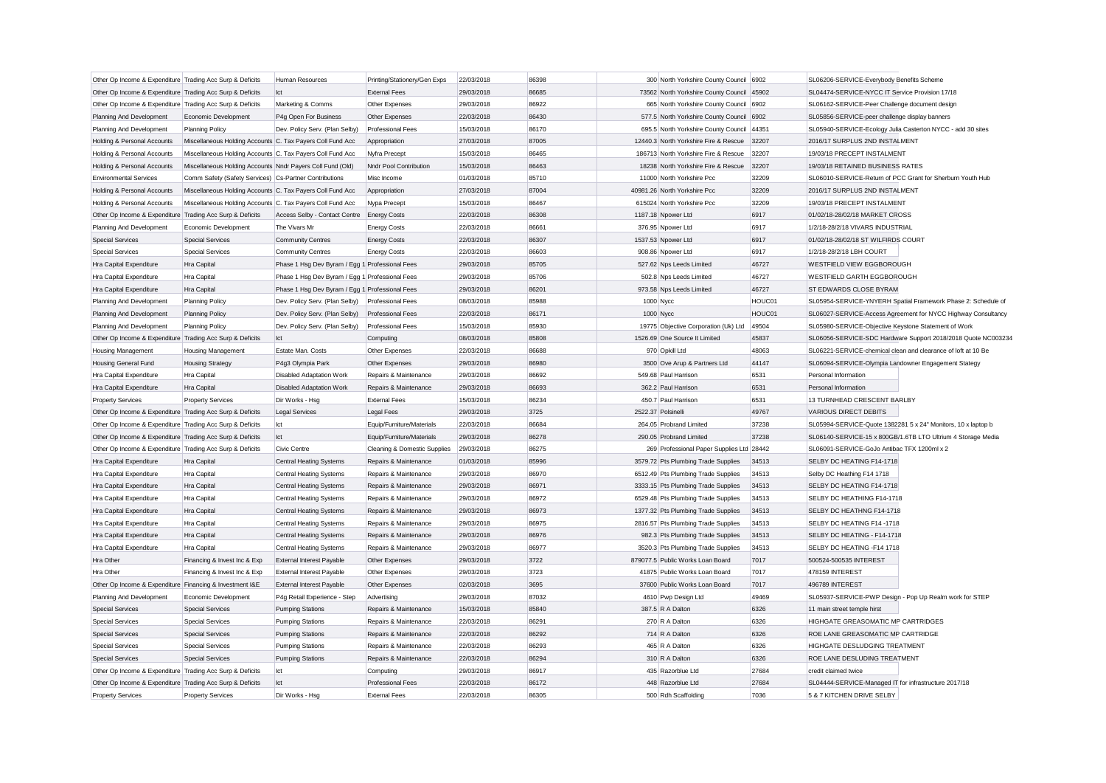| Other Op Income & Expenditure Trading Acc Surp & Deficits                            |                                                            | Human Resources                                    | Printing/Stationery/Gen Exps | 22/03/2018 | 86398 | 300 North Yorkshire County Council 6902    |        | SL06206-SERVICE-Everybody Benefits Scheme                     |
|--------------------------------------------------------------------------------------|------------------------------------------------------------|----------------------------------------------------|------------------------------|------------|-------|--------------------------------------------|--------|---------------------------------------------------------------|
| Other Op Income & Expenditure Trading Acc Surp & Deficits                            |                                                            | Ict                                                | <b>External Fees</b>         | 29/03/2018 | 86685 | 73562 North Yorkshire County Council 45902 |        | SL04474-SERVICE-NYCC IT Service Provision 17/18               |
| Other Op Income & Expenditure Trading Acc Surp & Deficits                            |                                                            | Marketing & Comms                                  | Other Expenses               | 29/03/2018 | 86922 | 665 North Yorkshire County Council 6902    |        | SL06162-SERVICE-Peer Challenge document design                |
| Planning And Development                                                             | Economic Development                                       | P4g Open For Business                              | Other Expenses               | 22/03/2018 | 86430 | 577.5 North Yorkshire County Council 6902  |        | SL05856-SERVICE-peer challenge display banners                |
| Planning And Development                                                             | <b>Planning Policy</b>                                     | Dev. Policy Serv. (Plan Selby)                     | Professional Fees            | 15/03/2018 | 86170 | 695.5 North Yorkshire County Council       | 44351  | SL05940-SERVICE-Ecology Julia Casterton NYCC - add 30 sites   |
| Holding & Personal Accounts                                                          | Miscellaneous Holding Accounts C. Tax Pavers Coll Fund Acc |                                                    | Appropriation                | 27/03/2018 | 87005 | 12440.3 North Yorkshire Fire & Rescue      | 32207  | 2016/17 SURPLUS 2ND INSTALMENT                                |
| Holding & Personal Accounts                                                          | Miscellaneous Holding Accounts C. Tax Payers Coll Fund Acc |                                                    | Nyfra Precept                | 15/03/2018 | 86465 | 186713 North Yorkshire Fire & Rescue       | 32207  | 19/03/18 PRECEPT INSTALMENT                                   |
| Holding & Personal Accounts                                                          | Miscellaneous Holding Accounts Nndr Payers Coll Fund (Old) |                                                    | Nndr Pool Contribution       | 15/03/2018 | 86463 | 18238 North Yorkshire Fire & Rescue        | 32207  | 19/03/18 RETAINED BUSINESS RATES                              |
| <b>Environmental Services</b>                                                        | Comm Safety (Safety Services) Cs-Partner Contributions     |                                                    | Misc Income                  | 01/03/2018 | 85710 | 11000 North Yorkshire Pcc                  | 32209  | SL06010-SERVICE-Return of PCC Grant for Sherburn Youth Hub    |
| Holding & Personal Accounts                                                          | Miscellaneous Holding Accounts C. Tax Payers Coll Fund Acc |                                                    | Appropriation                | 27/03/2018 | 87004 | 40981.26 North Yorkshire Pcc               | 32209  | 2016/17 SURPLUS 2ND INSTALMENT                                |
| Holding & Personal Accounts                                                          | Miscellaneous Holding Accounts C. Tax Payers Coll Fund Acc |                                                    | Nypa Precept                 | 15/03/2018 | 86467 | 615024 North Yorkshire Pcc                 | 32209  | 19/03/18 PRECEPT INSTALMENT                                   |
| Other Op Income & Expenditure                                                        | Trading Acc Surp & Deficits                                | Access Selby - Contact Centre                      | <b>Energy Costs</b>          | 22/03/2018 | 86308 | 1187.18 Npower Ltd                         | 6917   | 01/02/18-28/02/18 MARKET CROSS                                |
| Planning And Development                                                             | Economic Development                                       | The Vivars Mr                                      | <b>Energy Costs</b>          | 22/03/2018 | 86661 | 376.95 Npower Ltd                          | 6917   | 1/2/18-28/2/18 VIVARS INDUSTRIAL                              |
| <b>Special Services</b>                                                              | <b>Special Services</b>                                    | <b>Community Centres</b>                           | <b>Energy Costs</b>          | 22/03/2018 | 86307 | 1537.53 Npower Ltd                         | 6917   | 01/02/18-28/02/18 ST WILFIRDS COURT                           |
| <b>Special Services</b>                                                              | <b>Special Services</b>                                    | <b>Community Centres</b>                           | <b>Energy Costs</b>          | 22/03/2018 | 86603 | 908.86 Npower Ltd                          | 6917   | 1/2/18-28/2/18 LBH COURT                                      |
| Hra Capital Expenditure                                                              | Hra Capital                                                | Phase 1 Hsg Dev Byram / Egg 1 Professional Fees    |                              | 29/03/2018 | 85705 | 527.62 Nps Leeds Limited                   | 46727  | WESTFIELD VIEW EGGBOROUGH                                     |
| Hra Capital Expenditure                                                              | Hra Capital                                                | Phase 1 Hsg Dev Byram / Egg 1 Professional Fees    |                              | 29/03/2018 | 85706 | 502.8 Nps Leeds Limited                    | 46727  | WESTFIELD GARTH EGGBOROUGH                                    |
| Hra Capital Expenditure                                                              | Hra Capital                                                | Phase 1 Hsg Dev Byram / Egg 1 Professional Fees    |                              | 29/03/2018 | 86201 | 973.58 Nps Leeds Limited                   | 46727  | ST EDWARDS CLOSE BYRAM                                        |
| Planning And Development                                                             | Planning Policy                                            | Dev. Policy Serv. (Plan Selby)                     | <b>Professional Fees</b>     | 08/03/2018 | 85988 | 1000 Nycc                                  | HOUC01 | SL05954-SERVICE-YNYERH Spatial Framework Phase 2: Schedule of |
| Planning And Development                                                             | <b>Planning Policy</b>                                     | Dev. Policy Serv. (Plan Selby)                     | <b>Professional Fees</b>     | 22/03/2018 | 86171 | 1000 Nycc                                  | HOUC01 | SL06027-SERVICE-Access Agreement for NYCC Highway Consultancy |
| Planning And Development                                                             | <b>Planning Policy</b>                                     | Dev. Policy Serv. (Plan Selby)                     | Professional Fees            | 15/03/2018 | 85930 | 19775 Objective Corporation (Uk) Ltd       | 49504  | SL05980-SERVICE-Objective Keystone Statement of Work          |
| Other Op Income & Expenditure Trading Acc Surp & Deficits                            |                                                            | Ict                                                | Computing                    | 08/03/2018 | 85808 | 1526.69 One Source It Limited              | 45837  | SL06056-SERVICE-SDC Hardware Support 2018/2018 Quote NC003234 |
| <b>Housing Management</b>                                                            | <b>Housing Management</b>                                  | Estate Man. Costs                                  | Other Expenses               | 22/03/2018 | 86688 | 970 Opkill Ltd                             | 48063  | SL06221-SERVICE-chemical clean and clearance of loft at 10 Be |
| Housing General Fund                                                                 | <b>Housing Strategy</b>                                    | P4g3 Olympia Park                                  | Other Expenses               | 29/03/2018 | 86980 | 3500 Ove Arup & Partners Ltd               | 44147  | SL06094-SERVICE-Olympia Landowner Engagement Stategy          |
| Hra Capital Expenditure                                                              | <b>Hra Capital</b>                                         | <b>Disabled Adaptation Work</b>                    | Repairs & Maintenance        | 29/03/2018 | 86692 | 549.68 Paul Harrison                       | 6531   | Personal Information                                          |
| Hra Capital Expenditure                                                              | Hra Capital                                                | <b>Disabled Adaptation Work</b>                    | Repairs & Maintenance        | 29/03/2018 | 86693 | 362.2 Paul Harrison                        | 6531   | Personal Information                                          |
| <b>Property Services</b>                                                             | <b>Property Services</b>                                   | Dir Works - Hsg                                    | <b>External Fees</b>         | 15/03/2018 | 86234 | 450.7 Paul Harrison                        | 6531   | 13 TURNHEAD CRESCENT BARLBY                                   |
| Other Op Income & Expenditure Trading Acc Surp & Deficits                            |                                                            | <b>Legal Services</b>                              | <b>Legal Fees</b>            | 29/03/2018 | 3725  | 2522.37 Polsinelli                         | 49767  | <b>VARIOUS DIRECT DEBITS</b>                                  |
| Other Op Income & Expenditure Trading Acc Surp & Deficits                            |                                                            | Ict                                                | Equip/Furniture/Materials    | 22/03/2018 | 86684 | 264.05 Probrand Limited                    | 37238  | SL05994-SERVICE-Quote 1382281 5 x 24" Monitors, 10 x laptop b |
| Other Op Income & Expenditure Trading Acc Surp & Deficits                            |                                                            | lct                                                | Equip/Furniture/Materials    | 29/03/2018 | 86278 | 290.05 Probrand Limited                    | 37238  | SL06140-SERVICE-15 x 800GB/1.6TB LTO Ultrium 4 Storage Media  |
| Other Op Income & Expenditure Trading Acc Surp & Deficits                            |                                                            | Civic Centre                                       | Cleaning & Domestic Supplies | 29/03/2018 | 86275 | 269 Professional Paper Supplies Ltd 28442  |        | SL06091-SERVICE-GoJo Antibac TFX 1200ml x 2                   |
| Hra Capital Expenditure                                                              | Hra Capital                                                | <b>Central Heating Systems</b>                     | Repairs & Maintenance        | 01/03/2018 | 85996 | 3579.72 Pts Plumbing Trade Supplies        | 34513  | SELBY DC HEATING F14-1718                                     |
| Hra Capital Expenditure                                                              | Hra Capital                                                | Central Heating Systems                            | Repairs & Maintenance        | 29/03/2018 | 86970 | 6512.49 Pts Plumbing Trade Supplies        | 34513  | Selby DC Heathing F14 1718                                    |
| Hra Capital Expenditure                                                              | Hra Capital                                                | Central Heating Systems                            | Repairs & Maintenance        | 29/03/2018 | 86971 | 3333.15 Pts Plumbing Trade Supplies        | 34513  | SELBY DC HEATING F14-1718                                     |
| Hra Capital Expenditure                                                              | Hra Capital                                                | <b>Central Heating Systems</b>                     | Repairs & Maintenance        | 29/03/2018 | 86972 | 6529.48 Pts Plumbing Trade Supplies        | 34513  | SELBY DC HEATHING F14-1718                                    |
| Hra Capital Expenditure                                                              | Hra Capital                                                | <b>Central Heating Systems</b>                     | Repairs & Maintenance        | 29/03/2018 | 86973 | 1377.32 Pts Plumbing Trade Supplies        | 34513  | SELBY DC HEATHNG F14-1718                                     |
| Hra Capital Expenditure                                                              | Hra Capital                                                | <b>Central Heating Systems</b>                     | Repairs & Maintenance        | 29/03/2018 | 86975 | 2816.57 Pts Plumbing Trade Supplies        | 34513  | SELBY DC HEATING F14 -1718                                    |
| Hra Capital Expenditure                                                              | <b>Hra Capital</b>                                         | <b>Central Heating Systems</b>                     | Repairs & Maintenance        | 29/03/2018 | 86976 | 982.3 Pts Plumbing Trade Supplies          | 34513  | SELBY DC HEATING - F14-1718                                   |
| Hra Capital Expenditure                                                              | Hra Capital                                                | <b>Central Heating Systems</b>                     | Repairs & Maintenance        | 29/03/2018 | 86977 | 3520.3 Pts Plumbing Trade Supplies         | 34513  | SELBY DC HEATING -F14 1718                                    |
| Hra Other                                                                            | Financing & Invest Inc & Exp                               | <b>External Interest Payable</b>                   | Other Expenses               | 29/03/2018 | 3722  | 879077.5 Public Works Loan Board           | 7017   | 500524-500535 INTEREST                                        |
| Hra Other                                                                            | Financing & Invest Inc & Exp                               | External Interest Payable                          | Other Expenses               | 29/03/2018 | 3723  | 41875 Public Works Loan Board              | 7017   | 478159 INTEREST                                               |
| Other Op Income & Expenditure Financing & Investment I&E                             |                                                            | <b>External Interest Pavable</b>                   | Other Expenses               | 02/03/2018 | 3695  | 37600 Public Works Loan Board              | 7017   | 496789 INTEREST                                               |
| Planning And Development                                                             | Economic Development                                       | P4g Retail Experience - Step                       | Advertising                  | 29/03/2018 | 87032 | 4610 Pwp Design Ltd                        | 49469  | SL05937-SERVICE-PWP Design - Pop Up Realm work for STEP       |
| <b>Special Services</b>                                                              | <b>Special Services</b>                                    | <b>Pumping Stations</b>                            | Repairs & Maintenance        | 15/03/2018 | 85840 | 387.5 R A Dalton                           | 6326   | 11 main street temple hirst                                   |
| <b>Special Services</b>                                                              | <b>Special Services</b>                                    | <b>Pumping Stations</b>                            | Repairs & Maintenance        | 22/03/2018 | 86291 | 270 R A Dalton                             | 6326   | HIGHGATE GREASOMATIC MP CARTRIDGES                            |
|                                                                                      |                                                            |                                                    | Repairs & Maintenance        | 22/03/2018 | 86292 | 714 R A Dalton                             | 6326   | ROE LANE GREASOMATIC MP CARTRIDGE                             |
| <b>Special Services</b><br><b>Special Services</b>                                   | <b>Special Services</b><br><b>Special Services</b>         | <b>Pumping Stations</b><br><b>Pumping Stations</b> | Repairs & Maintenance        | 22/03/2018 | 86293 | 465 R A Dalton                             | 6326   | HIGHGATE DESLUDGING TREATMENT                                 |
|                                                                                      | <b>Special Services</b>                                    |                                                    |                              | 22/03/2018 | 86294 | 310 R A Dalton                             | 6326   | ROE LANE DESLUDING TREATMENT                                  |
| <b>Special Services</b><br>Other Op Income & Expenditure Trading Acc Surp & Deficits |                                                            | <b>Pumping Stations</b><br>lct                     | Repairs & Maintenance        | 29/03/2018 | 86917 | 435 Razorblue Ltd                          | 27684  | credit claimed twice                                          |
|                                                                                      |                                                            |                                                    | Computing                    | 22/03/2018 | 86172 | 448 Razorblue Ltd                          | 27684  |                                                               |
| Other Op Income & Expenditure Trading Acc Surp & Deficits                            |                                                            | Ict                                                | <b>Professional Fees</b>     | 22/03/2018 | 86305 |                                            |        | SL04444-SERVICE-Managed IT for infrastructure 2017/18         |
| <b>Property Services</b>                                                             | <b>Property Services</b>                                   | Dir Works - Hsa                                    | <b>External Fees</b>         |            |       | 500 Rdh Scaffolding                        | 7036   | 5 & 7 KITCHEN DRIVE SELBY                                     |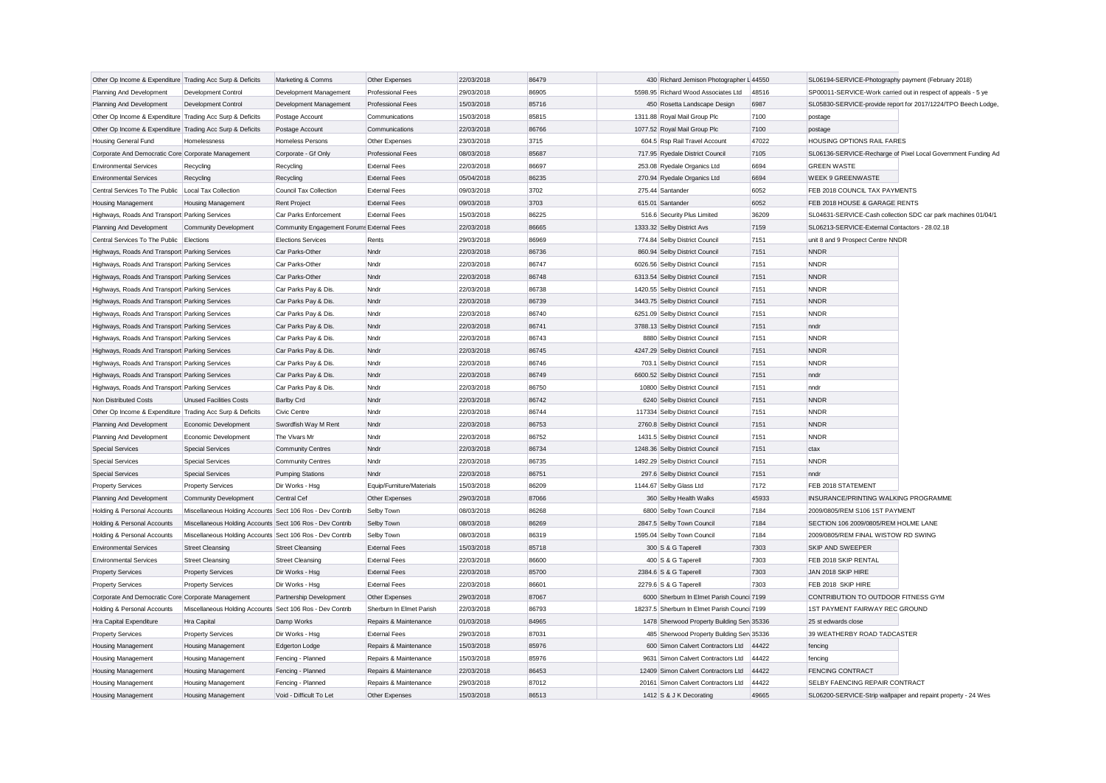| Other Op Income & Expenditure Trading Acc Surp & Deficits |                                                           | Marketing & Comms                         | Other Expenses            | 22/03/2018 | 86479 | 430 Richard Jemison Photographer L 44550     |       | SL06194-SERVICE-Photography payment (February 2018) |                                                               |
|-----------------------------------------------------------|-----------------------------------------------------------|-------------------------------------------|---------------------------|------------|-------|----------------------------------------------|-------|-----------------------------------------------------|---------------------------------------------------------------|
| Planning And Development                                  | <b>Development Control</b>                                | Development Management                    | <b>Professional Fees</b>  | 29/03/2018 | 86905 | 5598.95 Richard Wood Associates Ltd          | 48516 |                                                     | SP00011-SERVICE-Work carried out in respect of appeals - 5 ye |
| Planning And Development                                  | <b>Development Control</b>                                | Development Management                    | <b>Professional Fees</b>  | 15/03/2018 | 85716 | 450 Rosetta Landscape Design                 | 6987  |                                                     | SL05830-SERVICE-provide report for 2017/1224/TPO Beech Lodge  |
| Other Op Income & Expenditure Trading Acc Surp & Deficits |                                                           | Postage Account                           | Communications            | 15/03/2018 | 85815 | 1311.88 Royal Mail Group Plc                 | 7100  | postage                                             |                                                               |
| Other Op Income & Expenditure Trading Acc Surp & Deficits |                                                           | Postage Account                           | Communications            | 22/03/2018 | 86766 | 1077.52 Royal Mail Group Plc                 | 7100  | postage                                             |                                                               |
| Housing General Fund                                      | Homelessness                                              | Homeless Persons                          | Other Expenses            | 23/03/2018 | 3715  | 604.5 Rsp Rail Travel Account                | 47022 | HOUSING OPTIONS RAIL FARES                          |                                                               |
| Corporate And Democratic Core Corporate Management        |                                                           | Corporate - Gf Only                       | <b>Professional Fees</b>  | 08/03/2018 | 85687 | 717.95 Ryedale District Council              | 7105  |                                                     | SL06136-SERVICE-Recharge of Pixel Local Government Funding Ad |
| <b>Environmental Services</b>                             | Recycling                                                 | Recycling                                 | <b>External Fees</b>      | 22/03/2018 | 86697 | 253.08 Ryedale Organics Ltd                  | 6694  | <b>GREEN WASTE</b>                                  |                                                               |
| <b>Environmental Services</b>                             | Recycling                                                 | Recycling                                 | <b>External Fees</b>      | 05/04/2018 | 86235 | 270.94 Ryedale Organics Ltd                  | 6694  | <b>WEEK 9 GREENWASTE</b>                            |                                                               |
| Central Services To The Public                            | Local Tax Collection                                      | <b>Council Tax Collection</b>             | <b>External Fees</b>      | 09/03/2018 | 3702  | 275.44 Santander                             | 6052  | FEB 2018 COUNCIL TAX PAYMENTS                       |                                                               |
| <b>Housing Management</b>                                 | <b>Housing Management</b>                                 | <b>Rent Project</b>                       | <b>External Fees</b>      | 09/03/2018 | 3703  | 615.01 Santander                             | 6052  | FEB 2018 HOUSE & GARAGE RENTS                       |                                                               |
| Highways, Roads And Transport Parking Services            |                                                           | Car Parks Enforcement                     | <b>External Fees</b>      | 15/03/2018 | 86225 | 516.6 Security Plus Limited                  | 36209 |                                                     | SL04631-SERVICE-Cash collection SDC car park machines 01/04/1 |
| Planning And Development                                  | Community Development                                     | Community Engagement Forums External Fees |                           | 22/03/2018 | 86665 | 1333.32 Selby District Avs                   | 7159  | SL06213-SERVICE-External Contactors - 28.02.18      |                                                               |
| Central Services To The Public Elections                  |                                                           | <b>Elections Services</b>                 | Rents                     | 29/03/2018 | 86969 | 774.84 Selby District Council                | 7151  | unit 8 and 9 Prospect Centre NNDR                   |                                                               |
| Highways, Roads And Transport Parking Services            |                                                           | Car Parks-Other                           | Nndr                      | 22/03/2018 | 86736 | 860.94 Selby District Council                | 7151  | <b>NNDR</b>                                         |                                                               |
| Highways, Roads And Transport Parking Services            |                                                           | Car Parks-Other                           | Nndr                      | 22/03/2018 | 86747 | 6026.56 Selby District Council               | 7151  | <b>NNDR</b>                                         |                                                               |
| Highways, Roads And Transport Parking Services            |                                                           | Car Parks-Other                           | Nndr                      | 22/03/2018 | 86748 | 6313.54 Selby District Council               | 7151  | <b>NNDR</b>                                         |                                                               |
| Highways, Roads And Transport Parking Services            |                                                           | Car Parks Pay & Dis.                      | Nndr                      | 22/03/2018 | 86738 | 1420.55 Selby District Council               | 7151  | <b>NNDR</b>                                         |                                                               |
| Highways, Roads And Transport Parking Services            |                                                           | Car Parks Pay & Dis.                      | Nndr                      | 22/03/2018 | 86739 | 3443.75 Selby District Council               | 7151  | <b>NNDR</b>                                         |                                                               |
| Highways, Roads And Transport Parking Services            |                                                           | Car Parks Pay & Dis.                      | Nndr                      | 22/03/2018 | 86740 | 6251.09 Selby District Council               | 7151  | <b>NNDR</b>                                         |                                                               |
| Highways, Roads And Transport Parking Services            |                                                           | Car Parks Pay & Dis.                      | Nnd                       | 22/03/2018 | 86741 | 3788.13 Selby District Council               | 7151  | Inndr                                               |                                                               |
| Highways, Roads And Transport Parking Services            |                                                           | Car Parks Pay & Dis.                      | Nndr                      | 22/03/2018 | 86743 | 8880 Selby District Council                  | 7151  | <b>NNDR</b>                                         |                                                               |
| Highways, Roads And Transport Parking Services            |                                                           | Car Parks Pay & Dis.                      | Nndr                      | 22/03/2018 | 86745 | 4247.29 Selby District Council               | 7151  | <b>NNDR</b>                                         |                                                               |
|                                                           |                                                           |                                           |                           | 22/03/2018 | 86746 |                                              | 7151  | <b>NNDR</b>                                         |                                                               |
| Highways, Roads And Transport Parking Services            |                                                           | Car Parks Pay & Dis.                      | Nndr                      |            |       | 703.1 Selby District Council                 |       |                                                     |                                                               |
| Highways, Roads And Transport Parking Services            |                                                           | Car Parks Pay & Dis.                      | Nndr                      | 22/03/2018 | 86749 | 6600.52 Selby District Council               | 7151  | nndr                                                |                                                               |
| Highways, Roads And Transport Parking Services            |                                                           | Car Parks Pay & Dis.                      | Nndr                      | 22/03/2018 | 86750 | 10800 Selby District Council                 | 7151  | nndr                                                |                                                               |
| Non Distributed Costs                                     | <b>Unused Facilities Costs</b>                            | <b>Barlby Crd</b>                         | Nndr                      | 22/03/2018 | 86742 | 6240 Selby District Council                  | 7151  | <b>NNDR</b>                                         |                                                               |
| Other Op Income & Expenditure Trading Acc Surp & Deficits |                                                           | Civic Centre                              | Nnd                       | 22/03/2018 | 86744 | 117334 Selby District Council                | 7151  | <b>NNDR</b>                                         |                                                               |
| Planning And Development                                  | Economic Development                                      | Swordfish Way M Rent                      | Nndr                      | 22/03/2018 | 86753 | 2760.8 Selby District Council                | 7151  | <b>NNDR</b>                                         |                                                               |
| Planning And Development                                  | Economic Development                                      | The Vivars Mr                             | Nndr                      | 22/03/2018 | 86752 | 1431.5 Selby District Council                | 7151  | <b>NNDR</b>                                         |                                                               |
| <b>Special Services</b>                                   | <b>Special Services</b>                                   | <b>Community Centres</b>                  | Nndr                      | 22/03/2018 | 86734 | 1248.36 Selby District Council               | 7151  | ctax                                                |                                                               |
| <b>Special Services</b>                                   | <b>Special Services</b>                                   | <b>Community Centres</b>                  | Nndr                      | 22/03/2018 | 86735 | 1492.29 Selby District Council               | 7151  | <b>NNDR</b>                                         |                                                               |
| <b>Special Services</b>                                   | <b>Special Services</b>                                   | <b>Pumping Stations</b>                   | Nndr                      | 22/03/2018 | 86751 | 297.6 Selby District Council                 | 7151  | nndr                                                |                                                               |
| <b>Property Services</b>                                  | <b>Property Services</b>                                  | Dir Works - Hsg                           | Equip/Furniture/Materials | 15/03/2018 | 86209 | 1144.67 Selby Glass Ltd                      | 7172  | FEB 2018 STATEMENT                                  |                                                               |
| Planning And Development                                  | Community Development                                     | Central Cet                               | Other Expenses            | 29/03/2018 | 87066 | 360 Selby Health Walks                       | 45933 | INSURANCE/PRINTING WALKING PROGRAMME                |                                                               |
| Holding & Personal Accounts                               | Miscellaneous Holding Accounts Sect 106 Ros - Dev Contrib |                                           | Selby Town                | 08/03/2018 | 86268 | 6800 Selby Town Council                      | 7184  | 2009/0805/REM S106 1ST PAYMENT                      |                                                               |
| Holding & Personal Accounts                               | Miscellaneous Holding Accounts Sect 106 Ros - Dev Contrib |                                           | Selby Town                | 08/03/2018 | 86269 | 2847.5 Selby Town Council                    | 7184  | SECTION 106 2009/0805/REM HOLME LANE                |                                                               |
| Holding & Personal Accounts                               | Miscellaneous Holding Accounts Sect 106 Ros - Dev Contrib |                                           | Selby Town                | 08/03/2018 | 86319 | 1595.04 Selby Town Council                   | 7184  | 2009/0805/REM FINAL WISTOW RD SWING                 |                                                               |
| <b>Environmental Services</b>                             | <b>Street Cleansing</b>                                   | <b>Street Cleansing</b>                   | <b>External Fees</b>      | 15/03/2018 | 85718 | 300 S & G Taperell                           | 7303  | SKIP AND SWEEPER                                    |                                                               |
| <b>Environmental Services</b>                             | <b>Street Cleansing</b>                                   | <b>Street Cleansing</b>                   | <b>External Fees</b>      | 22/03/2018 | 86600 | 400 S & G Taperell                           | 7303  | FEB 2018 SKIP RENTAL                                |                                                               |
| <b>Property Services</b>                                  | <b>Property Services</b>                                  | Dir Works - Hsg                           | <b>External Fees</b>      | 22/03/2018 | 85700 | 2384.6 S & G Taperell                        | 7303  | JAN 2018 SKIP HIRE                                  |                                                               |
| <b>Property Services</b>                                  | <b>Property Services</b>                                  | Dir Works - Hsg                           | <b>External Fees</b>      | 22/03/2018 | 86601 | 2279.6 S & G Taperell                        | 7303  | FEB 2018 SKIP HIRE                                  |                                                               |
| Corporate And Democratic Core Corporate Management        |                                                           | Partnership Development                   | Other Expenses            | 29/03/2018 | 87067 | 6000 Sherburn In Elmet Parish Counci 7199    |       | CONTRIBUTION TO OUTDOOR FITNESS GYM                 |                                                               |
| Holding & Personal Accounts                               | Miscellaneous Holding Accounts Sect 106 Ros - Dev Contrib |                                           | Sherburn In Elmet Parish  | 22/03/2018 | 86793 | 18237.5 Sherburn In Elmet Parish Counci 7199 |       | 1ST PAYMENT FAIRWAY REC GROUND                      |                                                               |
| Hra Capital Expenditure                                   | Hra Capital                                               | Damp Works                                | Repairs & Maintenance     | 01/03/2018 | 84965 | 1478 Sherwood Property Building Sen 35336    |       | 25 st edwards close                                 |                                                               |
| <b>Property Services</b>                                  | <b>Property Services</b>                                  | Dir Works - Hsg                           | <b>External Fees</b>      | 29/03/2018 | 87031 | 485 Sherwood Property Building Serv 35336    |       | 39 WEATHERBY ROAD TADCASTER                         |                                                               |
| <b>Housing Management</b>                                 | <b>Housing Management</b>                                 | <b>Edgerton Lodge</b>                     | Repairs & Maintenance     | 15/03/2018 | 85976 | 600 Simon Calvert Contractors Ltd            | 44422 | fencino                                             |                                                               |
| <b>Housing Management</b>                                 | <b>Housing Management</b>                                 | Fencing - Planned                         | Repairs & Maintenance     | 15/03/2018 | 85976 | 9631 Simon Calvert Contractors Ltd           | 44422 | fencing                                             |                                                               |
| <b>Housing Management</b>                                 | <b>Housing Management</b>                                 | Fencing - Planned                         | Repairs & Maintenance     | 22/03/2018 | 86453 | 12409 Simon Calvert Contractors Ltd          | 44422 | <b>FENCING CONTRACT</b>                             |                                                               |
| <b>Housing Management</b>                                 | Housing Management                                        | Fencing - Planned                         | Repairs & Maintenance     | 29/03/2018 | 87012 | 20161 Simon Calvert Contractors Ltd          | 44422 | SELBY FAENCING REPAIR CONTRACT                      |                                                               |
| <b>Housing Management</b>                                 | <b>Housing Management</b>                                 | Void - Difficult To Let                   | Other Expenses            | 15/03/2018 | 86513 | 1412 S & J K Decorating                      | 49665 |                                                     | SL06200-SERVICE-Strip wallpaper and repaint property - 24 Wes |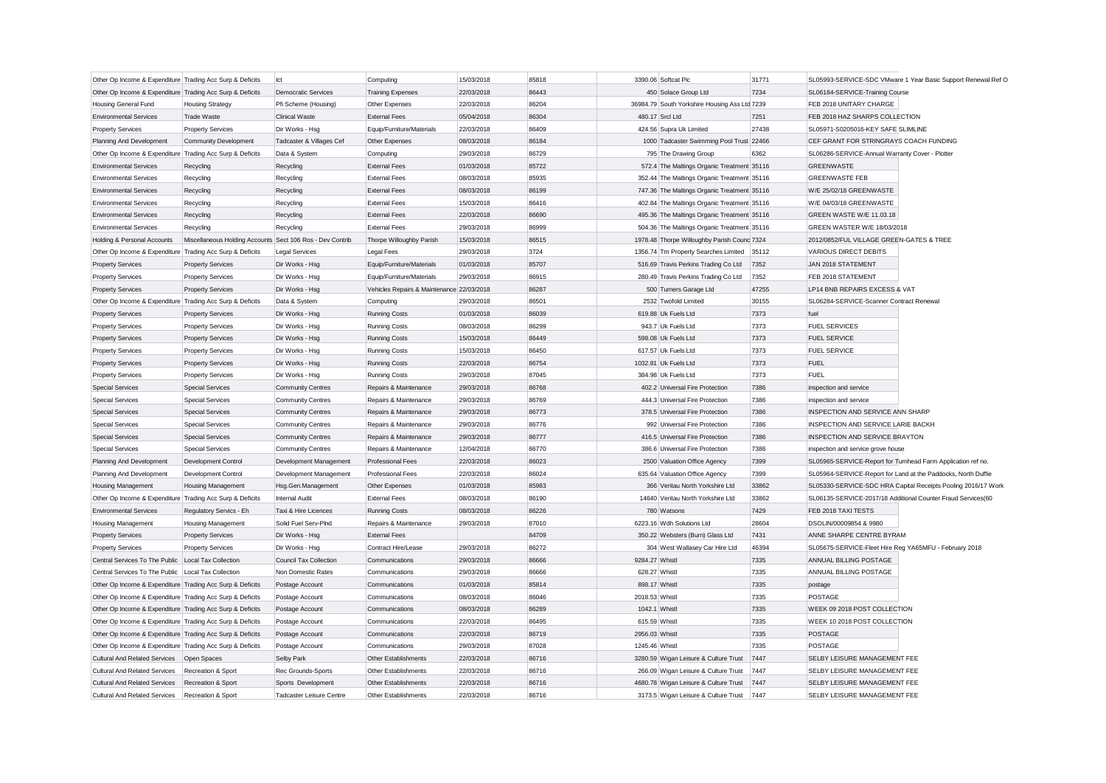| Other Op Income & Expenditure Trading Acc Surp & Deficits |                                                           | lct                             | Computing                                 | 15/03/2018 | 85818 |                | 3390.06 Softcat Plc                           | 31771 |                                                               | SL05993-SERVICE-SDC VMware 1 Year Basic Support Renewal Ref O |
|-----------------------------------------------------------|-----------------------------------------------------------|---------------------------------|-------------------------------------------|------------|-------|----------------|-----------------------------------------------|-------|---------------------------------------------------------------|---------------------------------------------------------------|
| Other Op Income & Expenditure Trading Acc Surp & Deficits |                                                           | <b>Democratic Services</b>      | <b>Training Expenses</b>                  | 22/03/2018 | 86443 |                | 450 Solace Group Ltd                          | 7234  | SL06184-SERVICE-Training Course                               |                                                               |
| Housing General Fund                                      | <b>Housing Strategy</b>                                   | Pfi Scheme (Housing)            | Other Expenses                            | 22/03/2018 | 86204 |                | 36984.79 South Yorkshire Housing Ass Ltd 7239 |       | FEB 2018 UNITARY CHARGE                                       |                                                               |
| <b>Environmental Services</b>                             | <b>Trade Waste</b>                                        | <b>Clinical Waste</b>           | <b>External Fees</b>                      | 05/04/2018 | 86304 |                | 480.17 Srcl Ltd                               | 7251  | FEB 2018 HAZ SHARPS COLLECTION                                |                                                               |
| <b>Property Services</b>                                  | <b>Property Services</b>                                  | Dir Works - Hsg                 | Equip/Furniture/Materials                 | 22/03/2018 | 86409 |                | 424.56 Supra Uk Limited                       | 27438 | SL05971-S0205016-KEY SAFE SLIMLINE                            |                                                               |
| Planning And Development                                  | Community Development                                     | Tadcaster & Villages Cef        | Other Expenses                            | 08/03/2018 | 86184 |                | 1000 Tadcaster Swimming Pool Trust 22466      |       | CEF GRANT FOR STRINGRAYS COACH FUNDING                        |                                                               |
| Other Op Income & Expenditure Trading Acc Surp & Deficits |                                                           | Data & System                   | Computing                                 | 29/03/2018 | 86729 |                | 795 The Drawing Group                         | 6362  | SL06286-SERVICE-Annual Warranty Cover - Plotter               |                                                               |
| <b>Environmental Services</b>                             | Recycling                                                 | Recycling                       | <b>External Fees</b>                      | 01/03/2018 | 85722 |                | 572.4 The Maltings Organic Treatment 35116    |       | <b>GREENWASTE</b>                                             |                                                               |
| <b>Environmental Services</b>                             | Recycling                                                 | Recycling                       | <b>External Fees</b>                      | 08/03/2018 | 85935 |                | 352.44 The Maltings Organic Treatment 35116   |       | <b>GREENWASTE FEB</b>                                         |                                                               |
| <b>Environmental Services</b>                             | Recycling                                                 | Recycling                       | <b>External Fees</b>                      | 08/03/2018 | 86199 |                | 747.36 The Maltings Organic Treatment 35116   |       | W/E 25/02/18 GREENWASTE                                       |                                                               |
| <b>Environmental Services</b>                             | Recycling                                                 | Recycling                       | <b>External Fees</b>                      | 15/03/2018 | 86416 |                | 402.84 The Maltings Organic Treatment 35116   |       | W/E 04/03/18 GREENWASTE                                       |                                                               |
| <b>Environmental Services</b>                             | Recycling                                                 | Recycling                       | <b>External Fees</b>                      | 22/03/2018 | 86690 |                | 495.36 The Maltings Organic Treatment 35116   |       | GREEN WASTE W/E 11.03.18                                      |                                                               |
| <b>Environmental Services</b>                             |                                                           |                                 | <b>External Fees</b>                      | 29/03/2018 | 86999 |                | 504.36 The Maltings Organic Treatment 35116   |       | GREEN WASTER W/E 18/03/2018                                   |                                                               |
|                                                           | Recycling                                                 | Recycling                       |                                           |            |       |                |                                               |       | 2012/0852/FUL VILLAGE GREEN-GATES & TREE                      |                                                               |
| Holding & Personal Accounts                               | Miscellaneous Holding Accounts Sect 106 Ros - Dev Contrib |                                 | Thorpe Willoughby Parish                  | 15/03/2018 | 86515 |                | 1978.48 Thorpe Willoughby Parish Counc 7324   |       |                                                               |                                                               |
| Other Op Income & Expenditure Trading Acc Surp & Deficits |                                                           | <b>Legal Services</b>           | Legal Fees                                | 29/03/2018 | 3724  |                | 1356.74 Tm Property Searches Limited          | 35112 | VARIOUS DIRECT DEBITS                                         |                                                               |
| <b>Property Services</b>                                  | <b>Property Services</b>                                  | Dir Works - Hsg                 | Equip/Furniture/Materials                 | 01/03/2018 | 85707 |                | 516.69 Travis Perkins Trading Co Ltd          | 7352  | JAN 2018 STATEMENT                                            |                                                               |
| <b>Property Services</b>                                  | <b>Property Services</b>                                  | Dir Works - Hsg                 | Equip/Furniture/Materials                 | 29/03/2018 | 86915 |                | 280.49 Travis Perkins Trading Co Ltd          | 7352  | FEB 2018 STATEMENT                                            |                                                               |
| <b>Property Services</b>                                  | <b>Property Services</b>                                  | Dir Works - Hsg                 | Vehicles Repairs & Maintenance 22/03/2018 |            | 86287 |                | 500 Turners Garage Ltd                        | 47255 | LP14 BNB REPAIRS EXCESS & VAT                                 |                                                               |
| Other Op Income & Expenditure Trading Acc Surp & Deficits |                                                           | Data & System                   | Computing                                 | 29/03/2018 | 86501 |                | 2532 Twofold Limited                          | 30155 | SL06284-SERVICE-Scanner Contract Renewal                      |                                                               |
| <b>Property Services</b>                                  | <b>Property Services</b>                                  | Dir Works - Hsg                 | <b>Running Costs</b>                      | 01/03/2018 | 86039 |                | 619.88 Uk Fuels Ltd                           | 7373  | fuel                                                          |                                                               |
| <b>Property Services</b>                                  | <b>Property Services</b>                                  | Dir Works - Hsg                 | Running Costs                             | 08/03/2018 | 86299 |                | 943.7 Uk Fuels Ltd                            | 7373  | <b>FUEL SERVICES</b>                                          |                                                               |
| <b>Property Services</b>                                  | <b>Property Services</b>                                  | Dir Works - Hsg                 | <b>Running Costs</b>                      | 15/03/2018 | 86449 |                | 598.08 Uk Fuels Ltd                           | 7373  | <b>FUEL SERVICE</b>                                           |                                                               |
| <b>Property Services</b>                                  | <b>Property Services</b>                                  | Dir Works - Hsg                 | <b>Running Costs</b>                      | 15/03/2018 | 86450 |                | 617.57 Uk Fuels Ltd                           | 7373  | <b>FUEL SERVICE</b>                                           |                                                               |
| <b>Property Services</b>                                  | <b>Property Services</b>                                  | Dir Works - Hsg                 | <b>Running Costs</b>                      | 22/03/2018 | 86754 |                | 1032.81 Uk Fuels Ltd                          | 7373  | <b>FUEL</b>                                                   |                                                               |
| <b>Property Services</b>                                  | <b>Property Services</b>                                  | Dir Works - Hsg                 | <b>Running Costs</b>                      | 29/03/2018 | 87045 |                | 384.98 Uk Fuels Ltd                           | 7373  | <b>FUEL</b>                                                   |                                                               |
| <b>Special Services</b>                                   | <b>Special Services</b>                                   | <b>Community Centres</b>        | Repairs & Maintenance                     | 29/03/2018 | 86768 |                | 402.2 Universal Fire Protection               | 7386  | inspection and service                                        |                                                               |
| <b>Special Services</b>                                   | <b>Special Services</b>                                   | <b>Community Centres</b>        | Repairs & Maintenance                     | 29/03/2018 | 86769 |                | 444.3 Universal Fire Protection               | 7386  | inspection and service                                        |                                                               |
| <b>Special Services</b>                                   | Special Services                                          | <b>Community Centres</b>        | Repairs & Maintenance                     | 29/03/2018 | 86773 |                | 378.5 Universal Fire Protection               | 7386  | INSPECTION AND SERVICE ANN SHARP                              |                                                               |
| <b>Special Services</b>                                   | <b>Special Services</b>                                   | <b>Community Centres</b>        | Repairs & Maintenance                     | 29/03/2018 | 86776 |                | 992 Universal Fire Protection                 | 7386  | INSPECTION AND SERVICE LARIE BACKH                            |                                                               |
| <b>Special Services</b>                                   | Special Services                                          | <b>Community Centres</b>        | Repairs & Maintenance                     | 29/03/2018 | 86777 |                | 416.5 Universal Fire Protection               | 7386  | INSPECTION AND SERVICE BRAYTON                                |                                                               |
| <b>Special Services</b>                                   | <b>Special Services</b>                                   | <b>Community Centres</b>        | Repairs & Maintenance                     | 12/04/2018 | 86770 |                | 386.6 Universal Fire Protection               | 7386  | inspection and service grove house                            |                                                               |
| Planning And Development                                  | Development Control                                       | Development Management          | <b>Professional Fees</b>                  | 22/03/2018 | 86023 |                | 2500 Valuation Office Agency                  | 7399  | SL05965-SERVICE-Report for Turnhead Farm Application ref no.  |                                                               |
| Planning And Development                                  | Development Control                                       | Development Management          | <b>Professional Fees</b>                  | 22/03/2018 | 86024 |                | 635.64 Valuation Office Agency                | 7399  | SL05964-SERVICE-Report for Land at the Paddocks, North Duffie |                                                               |
| <b>Housing Management</b>                                 | <b>Housing Management</b>                                 | Hsg.Gen.Management              | Other Expenses                            | 01/03/2018 | 85983 |                | 366 Veritau North Yorkshire Ltd               | 33862 |                                                               | SL05330-SERVICE-SDC HRA Capital Receipts Pooling 2016/17 Work |
| Other Op Income & Expenditure Trading Acc Surp & Deficits |                                                           | Internal Audit                  | <b>External Fees</b>                      | 08/03/2018 | 86190 |                | 14640 Veritau North Yorkshire Ltd             | 33862 | SL06135-SERVICE-2017/18 Additional Counter Fraud Services(60  |                                                               |
| <b>Environmental Services</b>                             | Regulatory Servics - Eh                                   | Taxi & Hire Licences            | <b>Running Costs</b>                      | 08/03/2018 | 86226 |                | 780 Watsons                                   | 7429  | FEB 2018 TAXI TESTS                                           |                                                               |
| Housing Management                                        | Housing Management                                        | Solid Fuel Serv-PInd            | Repairs & Maintenance                     | 29/03/2018 | 87010 |                | 6223.16 Wdh Solutions Ltd                     | 28604 | DSOLIN/00009854 & 9980                                        |                                                               |
| <b>Property Services</b>                                  | <b>Property Services</b>                                  | Dir Works - Hsg                 | <b>External Fees</b>                      |            | 84709 |                | 350.22 Websters (Burn) Glass Ltd              | 7431  | ANNE SHARPE CENTRE BYRAM                                      |                                                               |
| <b>Property Services</b>                                  | <b>Property Services</b>                                  | Dir Works - Hsg                 | Contract Hire/Lease                       | 29/03/2018 | 86272 |                | 304 West Wallasey Car Hire Ltd                | 46394 | SL05675-SERVICE-Fleet Hire Reg YA65MFU - February 2018        |                                                               |
| Central Services To The Public                            | Local Tax Collection                                      | <b>Council Tax Collection</b>   | Communications                            | 29/03/2018 | 86666 | 9284.27 Whistl |                                               | 7335  | ANNUAL BILLING POSTAGE                                        |                                                               |
| Central Services To The Public                            | Local Tax Collection                                      | Non Domestic Rates              | Communications                            | 29/03/2018 | 86666 |                | 628.27 Whistl                                 | 7335  | ANNUAL BILLING POSTAGE                                        |                                                               |
| Other Op Income & Expenditure Trading Acc Surp & Deficits |                                                           | Postage Account                 | Communications                            | 01/03/2018 | 85814 |                | 898.17 Whistl                                 | 7335  | postage                                                       |                                                               |
| Other Op Income & Expenditure Trading Acc Surp & Deficits |                                                           | Postage Account                 | Communications                            | 08/03/2018 | 86046 | 2018.53 Whistl |                                               | 7335  | POSTAGE                                                       |                                                               |
| Other Op Income & Expenditure Trading Acc Surp & Deficits |                                                           | Postage Account                 | Communications                            | 08/03/2018 | 86289 |                | 1042.1 Whistl                                 | 7335  | WEEK 09 2018 POST COLLECTION                                  |                                                               |
| Other Op Income & Expenditure Trading Acc Surp & Deficits |                                                           | Postage Account                 | Communications                            | 22/03/2018 | 86495 | 615.59 Whistl  |                                               | 7335  | WEEK 10 2018 POST COLLECTION                                  |                                                               |
| Other Op Income & Expenditure Trading Acc Surp & Deficits |                                                           | Postage Account                 | Communications                            | 22/03/2018 | 86719 | 2956.03 Whistl |                                               | 7335  | POSTAGE                                                       |                                                               |
| Other Op Income & Expenditure Trading Acc Surp & Deficits |                                                           | Postage Account                 | Communications                            | 29/03/2018 | 87028 | 1245.46 Whistl |                                               | 7335  | <b>POSTAGE</b>                                                |                                                               |
| <b>Cultural And Related Services</b>                      | Open Spaces                                               | Selby Park                      | Other Establishments                      | 22/03/2018 | 86716 |                | 3280.59 Wigan Leisure & Culture Trust         | 7447  | SELBY LEISURE MANAGEMENT FEE                                  |                                                               |
| <b>Cultural And Related Services</b>                      | Recreation & Sport                                        | Rec Grounds-Sports              | Other Establishments                      | 22/03/2018 | 86716 |                | 266.09 Wigan Leisure & Culture Trust          | 7447  | SELBY LEISURE MANAGEMENT FEE                                  |                                                               |
| <b>Cultural And Related Services</b>                      | Recreation & Sport                                        | Sports Development              | Other Establishments                      | 22/03/2018 | 86716 |                | 4680.78 Wigan Leisure & Culture Trust         | 7447  | SELBY LEISURE MANAGEMENT FEE                                  |                                                               |
| Cultural And Related Services                             | Recreation & Sport                                        | <b>Tadcaster Leisure Centre</b> | Other Establishments                      | 22/03/2018 | 86716 |                | 3173.5 Wigan Leisure & Culture Trust          | 7447  | SELBY LEISURE MANAGEMENT FEE                                  |                                                               |
|                                                           |                                                           |                                 |                                           |            |       |                |                                               |       |                                                               |                                                               |